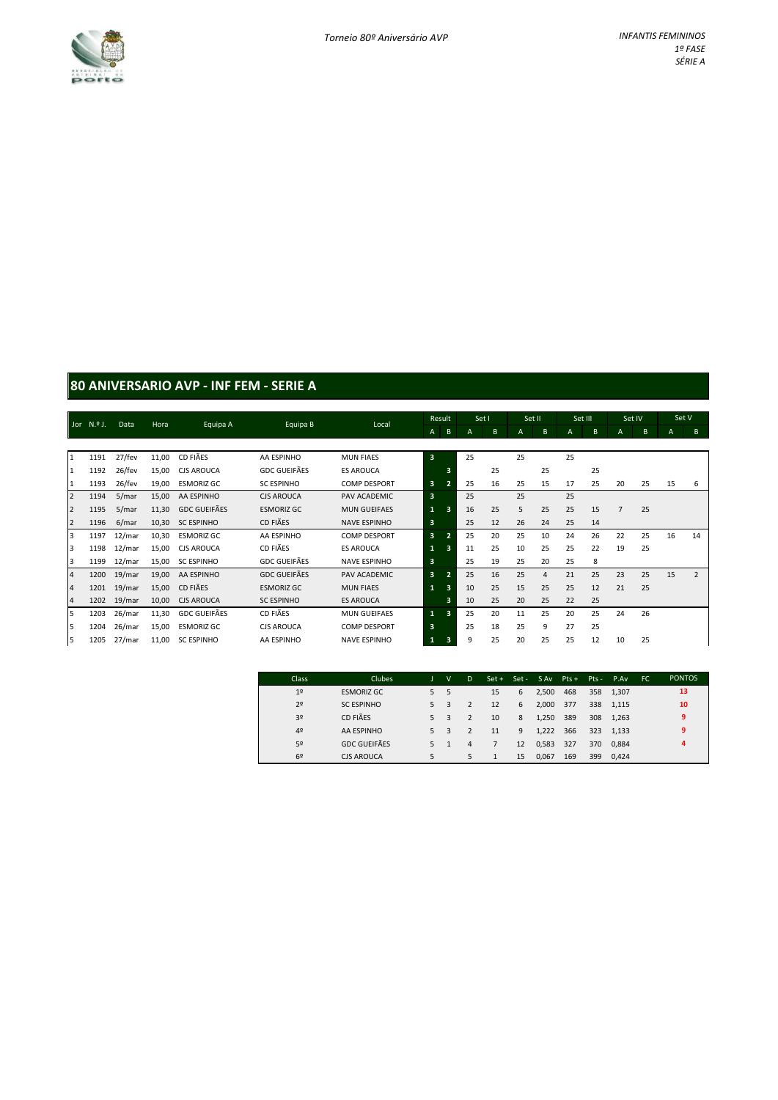

# **80 ANIVERSARIO AVP - INF FEM - SERIE A**

|                         | Jor $N,9$ J. | Data   | Hora  | Equipa A            | Equipa B            | Local               |                         | Result | Set I |    | Set II |                | Set III |    | Set IV         |    | Set V          |                |
|-------------------------|--------------|--------|-------|---------------------|---------------------|---------------------|-------------------------|--------|-------|----|--------|----------------|---------|----|----------------|----|----------------|----------------|
|                         |              |        |       |                     |                     |                     | $\mathsf{A}$            | B      | А     | B  | A      | B              | A       | B  | $\mathsf{A}$   | B  | $\overline{A}$ | B              |
|                         |              |        |       |                     |                     |                     |                         |        |       |    |        |                |         |    |                |    |                |                |
| $\mathbf{1}$            | 1191         | 27/fev | 11,00 | CD FIÃES            | AA ESPINHO          | <b>MUN FIAES</b>    | $\overline{\mathbf{3}}$ |        | 25    |    | 25     |                | 25      |    |                |    |                |                |
| $\mathbf{1}$            | 1192         | 26/fev | 15,00 | <b>CJS AROUCA</b>   | <b>GDC GUEIFÃES</b> | <b>ES AROUCA</b>    |                         | 3      |       | 25 |        | 25             |         | 25 |                |    |                |                |
| $\mathbf{1}$            | 1193         | 26/fev | 19,00 | <b>ESMORIZ GC</b>   | <b>SC ESPINHO</b>   | <b>COMP DESPORT</b> | 3                       |        | 25    | 16 | 25     | 15             | 17      | 25 | 20             | 25 | 15             | 6              |
| $\overline{2}$          | 1194         | 5/mar  | 15,00 | AA ESPINHO          | <b>CJS AROUCA</b>   | PAV ACADEMIC        | $\overline{\mathbf{3}}$ |        | 25    |    | 25     |                | 25      |    |                |    |                |                |
| $\overline{2}$          | 1195         | 5/mar  | 11,30 | <b>GDC GUEIFÃES</b> | <b>ESMORIZ GC</b>   | <b>MUN GUEIFAES</b> | 1                       | в      | 16    | 25 | 5      | 25             | 25      | 15 | $\overline{7}$ | 25 |                |                |
| $\overline{2}$          | 1196         | 6/mar  | 10,30 | <b>SC ESPINHO</b>   | CD FIÃES            | <b>NAVE ESPINHO</b> | 3                       |        | 25    | 12 | 26     | 24             | 25      | 14 |                |    |                |                |
| $\overline{\mathbf{3}}$ | 1197         | 12/mar | 10,30 | <b>ESMORIZ GC</b>   | AA ESPINHO          | <b>COMP DESPORT</b> | 3                       | 2.     | 25    | 20 | 25     | 10             | 24      | 26 | 22             | 25 | 16             | 14             |
| 3                       | 1198         | 12/mar | 15,00 | <b>CJS AROUCA</b>   | CD FIÃES            | <b>ES AROUCA</b>    | 1                       | з      | 11    | 25 | 10     | 25             | 25      | 22 | 19             | 25 |                |                |
| 3                       | 1199         | 12/mar | 15,00 | <b>SC ESPINHO</b>   | <b>GDC GUEIFÃES</b> | <b>NAVE ESPINHO</b> | 3                       |        | 25    | 19 | 25     | 20             | 25      | 8  |                |    |                |                |
| $\overline{a}$          | 1200         | 19/mar | 19,00 | AA ESPINHO          | <b>GDC GUEIFÃES</b> | PAV ACADEMIC        | 3                       | 9,     | 25    | 16 | 25     | $\overline{4}$ | 21      | 25 | 23             | 25 | 15             | $\overline{2}$ |
| $\overline{a}$          | 1201         | 19/mar | 15,00 | CD FIÃES            | <b>ESMORIZ GC</b>   | <b>MUN FIAES</b>    |                         | з      | 10    | 25 | 15     | 25             | 25      | 12 | 21             | 25 |                |                |
| $\overline{a}$          | 1202         | 19/mar | 10,00 | <b>CJS AROUCA</b>   | <b>SC ESPINHO</b>   | <b>ES AROUCA</b>    |                         | 3      | 10    | 25 | 20     | 25             | 22      | 25 |                |    |                |                |
| 5                       | 1203         | 26/mar | 11,30 | <b>GDC GUEIFÃES</b> | CD FIÃES            | <b>MUN GUEIFAES</b> | $\mathbf{1}$            | 3      | 25    | 20 | 11     | 25             | 20      | 25 | 24             | 26 |                |                |
| 5                       | 1204         | 26/mar | 15,00 | <b>ESMORIZ GC</b>   | <b>CJS AROUCA</b>   | <b>COMP DESPORT</b> | 3                       |        | 25    | 18 | 25     | 9              | 27      | 25 |                |    |                |                |
| 5                       | 1205         | 27/mar | 11,00 | <b>SC ESPINHO</b>   | AA ESPINHO          | <b>NAVE ESPINHO</b> |                         |        | 9     | 25 | 20     | 25             | 25      | 12 | 10             | 25 |                |                |

| Class:         | <b>Clubes</b>       |    | $\mathsf{v}$ | D | Set + Set - |    | S Av  | $Pts +$ |     | Pts - P.Av | FC. | <b>PONTOS</b> |
|----------------|---------------------|----|--------------|---|-------------|----|-------|---------|-----|------------|-----|---------------|
| 1 <sup>°</sup> | <b>ESMORIZ GC</b>   | 5  | 5            |   | 15          | 6  | 2.500 | 468     |     | 358 1.307  |     | 13            |
| 2 <sup>o</sup> | <b>SC ESPINHO</b>   | 5. |              |   | 12          | 6  | 2,000 | 377     |     | 338 1.115  |     | 10            |
| 3 <sup>o</sup> | CD FIÃES            | 5. | 3            |   | 10          | 8  | 1,250 | 389     | 308 | 1,263      |     | 9             |
| 4 <sup>°</sup> | AA ESPINHO          | 5. | 3            |   | 11          | 9  | 1,222 | 366     | 323 | 1.133      |     | 9             |
| 5º             | <b>GDC GUEIFÃES</b> | 5  |              | 4 |             | 12 | 0,583 | 327     | 370 | 0.884      |     | 4             |
| 6 <sup>2</sup> | <b>CJS AROUCA</b>   | 5  |              | 5 |             | 15 | 0,067 | 169     | 399 | 0.424      |     |               |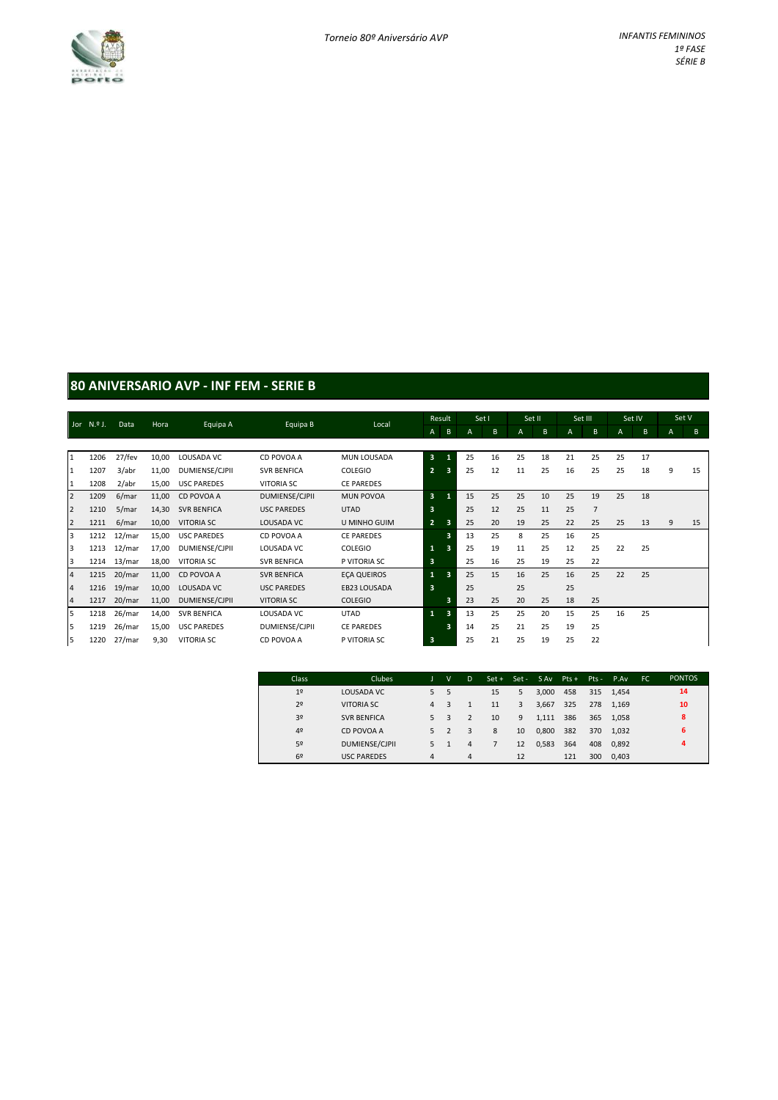

#### **80 ANIVERSARIO AVP - INF FEM - SERIE B**

|                | Jor N.º J. | Data   | Hora  | Equipa A           | Equipa B           | Local              |                         | Result   | Set I |    | Set II |    | Set III        |                | Set IV |    | Set V |    |
|----------------|------------|--------|-------|--------------------|--------------------|--------------------|-------------------------|----------|-------|----|--------|----|----------------|----------------|--------|----|-------|----|
|                |            |        |       |                    |                    |                    | $\mathsf{A}$            | $\sf{B}$ | A     | B  | A      | B  | $\overline{A}$ | B              | A      | B  | A     | B  |
|                |            |        |       |                    |                    |                    |                         |          |       |    |        |    |                |                |        |    |       |    |
| 1              | 1206       | 27/fev | 10,00 | LOUSADA VC         | CD POVOA A         | MUN LOUSADA        | 3                       |          | 25    | 16 | 25     | 18 | 21             | 25             | 25     | 17 |       |    |
| 1              | 1207       | 3/abr  | 11,00 | DUMIENSE/CJPII     | <b>SVR BENFICA</b> | COLEGIO            | $\overline{2}$          | 3        | 25    | 12 | 11     | 25 | 16             | 25             | 25     | 18 | 9     | 15 |
| 1              | 1208       | 2/abr  | 15,00 | <b>USC PAREDES</b> | <b>VITORIA SC</b>  | <b>CE PAREDES</b>  |                         |          |       |    |        |    |                |                |        |    |       |    |
| $\overline{2}$ | 1209       | 6/mar  | 11,00 | CD POVOA A         | DUMIENSE/CJPII     | <b>MUN POVOA</b>   | $\overline{\mathbf{3}}$ |          | 15    | 25 | 25     | 10 | 25             | 19             | 25     | 18 |       |    |
| $\overline{2}$ | 1210       | 5/mar  | 14,30 | <b>SVR BENFICA</b> | <b>USC PAREDES</b> | <b>UTAD</b>        | 3                       |          | 25    | 12 | 25     | 11 | 25             | $\overline{7}$ |        |    |       |    |
| $\overline{2}$ | 1211       | 6/mar  | 10,00 | <b>VITORIA SC</b>  | LOUSADA VC         | U MINHO GUIM       | $\overline{2}$          | 3        | 25    | 20 | 19     | 25 | 22             | 25             | 25     | 13 | 9     | 15 |
| 3              | 1212       | 12/mar | 15,00 | <b>USC PAREDES</b> | CD POVOA A         | <b>CE PAREDES</b>  |                         | 3        | 13    | 25 | 8      | 25 | 16             | 25             |        |    |       |    |
| 3              | 1213       | 12/mar | 17,00 | DUMIENSE/CJPII     | LOUSADA VC         | <b>COLEGIO</b>     | $\mathbf{1}$            | 3        | 25    | 19 | 11     | 25 | 12             | 25             | 22     | 25 |       |    |
| 3              | 1214       | 13/mar | 18,00 | <b>VITORIA SC</b>  | <b>SVR BENFICA</b> | P VITORIA SC       | $\overline{\mathbf{3}}$ |          | 25    | 16 | 25     | 19 | 25             | 22             |        |    |       |    |
| $\overline{4}$ | 1215       | 20/mar | 11,00 | CD POVOA A         | <b>SVR BENFICA</b> | <b>ECA QUEIROS</b> |                         | 3        | 25    | 15 | 16     | 25 | 16             | 25             | 22     | 25 |       |    |
| $\overline{a}$ | 1216       | 19/mar | 10,00 | LOUSADA VC         | <b>USC PAREDES</b> | EB23 LOUSADA       | 3                       |          | 25    |    | 25     |    | 25             |                |        |    |       |    |
| $\overline{4}$ | 1217       | 20/mar | 11,00 | DUMIENSE/CJPII     | <b>VITORIA SC</b>  | <b>COLEGIO</b>     |                         | 3        | 23    | 25 | 20     | 25 | 18             | 25             |        |    |       |    |
| 5              | 1218       | 26/mar | 14,00 | <b>SVR BENFICA</b> | LOUSADA VC         | <b>UTAD</b>        | $\mathbf{1}$            | 3        | 13    | 25 | 25     | 20 | 15             | 25             | 16     | 25 |       |    |
| 5              | 1219       | 26/mar | 15,00 | <b>USC PAREDES</b> | DUMIENSE/CJPII     | <b>CE PAREDES</b>  |                         | 3        | 14    | 25 | 21     | 25 | 19             | 25             |        |    |       |    |
| 5              | 1220       | 27/mar | 9,30  | <b>VITORIA SC</b>  | CD POVOA A         | P VITORIA SC       | 3                       |          | 25    | 21 | 25     | 19 | 25             | 22             |        |    |       |    |

| Class          | Clubes                |                | $\vee$ | D              | $Set +$ | $Set -$ | SAv Pts + |     |     | Pts - P.Av | FC | <b>PONTOS</b> |
|----------------|-----------------------|----------------|--------|----------------|---------|---------|-----------|-----|-----|------------|----|---------------|
| 1 <sup>°</sup> | LOUSADA VC            | 5              | 5      |                | 15      | 5       | 3.000     | 458 |     | 315 1.454  |    | 14            |
| 2 <sup>o</sup> | <b>VITORIA SC</b>     | $\overline{a}$ | 3      |                | 11      | 3       | 3,667     | 325 |     | 278 1.169  |    | 10            |
| 3 <sup>o</sup> | <b>SVR BENFICA</b>    | 5              | 3      | $\overline{2}$ | 10      | 9       | 1,111     | 386 | 365 | 1.058      |    | 8             |
| 4 <sup>°</sup> | CD POVOA A            | 5              | 2      | 3              | 8       | 10      | 0,800     | 382 | 370 | 1.032      |    | 6             |
| 5º             | <b>DUMIENSE/CJPII</b> |                |        | 4              |         | 12      | 0,583     | 364 | 408 | 0.892      |    | 4             |
| 69             | <b>USC PAREDES</b>    | 4              |        | $\overline{4}$ |         | 12      |           | 121 | 300 | 0.403      |    |               |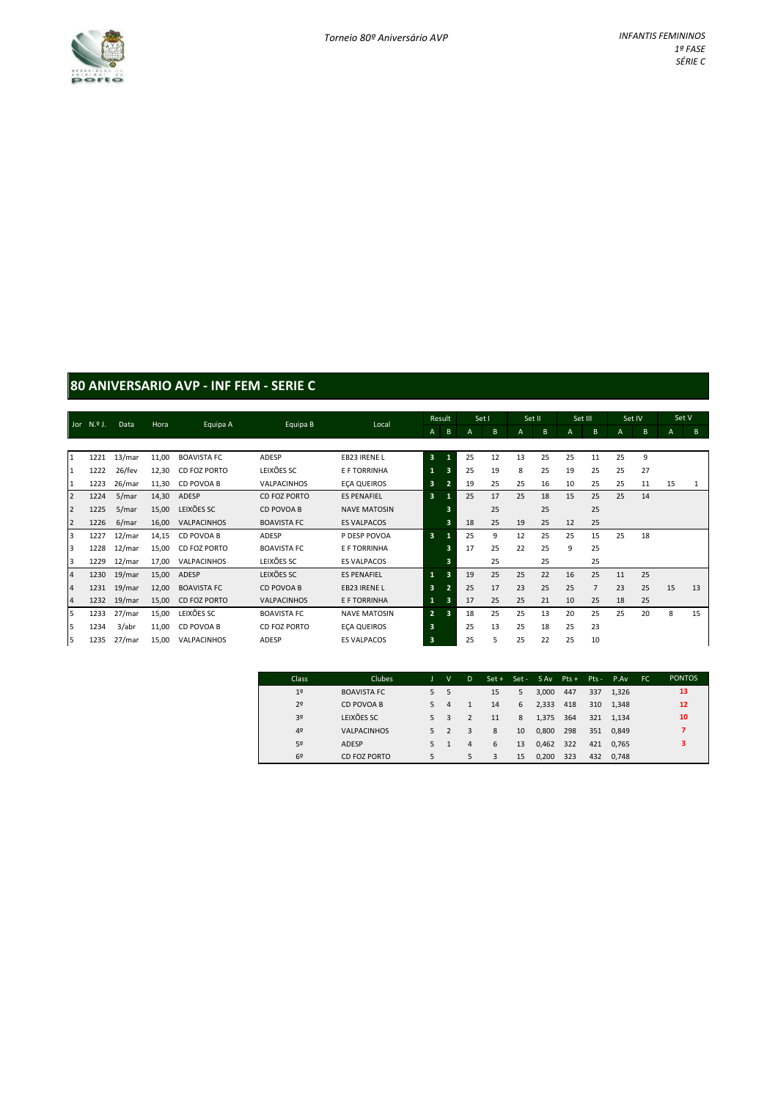

### **80 ANIVERSARIO AVP - INF FEM - SERIE C**

|                | Jor N.º J. | Data   | Hora  | Equipa A           | Equipa B           | Local               |                         | Result | Set I |    | Set II |    | Set III |                | Set IV       |    | Set V |    |
|----------------|------------|--------|-------|--------------------|--------------------|---------------------|-------------------------|--------|-------|----|--------|----|---------|----------------|--------------|----|-------|----|
|                |            |        |       |                    |                    |                     | A                       | B      | А     | B  | A      | B  | A       | B              | $\mathsf{A}$ | B  | A     | B  |
|                |            |        |       |                    |                    |                     |                         |        |       |    |        |    |         |                |              |    |       |    |
| $\mathbf{1}$   | 1221       | 13/mar | 11,00 | <b>BOAVISTA FC</b> | ADESP              | EB23 IRENE L        | $\overline{3}$          |        | 25    | 12 | 13     | 25 | 25      | 11             | 25           | 9  |       |    |
| $\mathbf{1}$   | 1222       | 26/fev | 12,30 | CD FOZ PORTO       | LEIXÕES SC         | E F TORRINHA        | 1                       | E      | 25    | 19 | 8      | 25 | 19      | 25             | 25           | 27 |       |    |
| $\mathbf{1}$   | 1223       | 26/mar | 11,30 | CD POVOA B         | VALPACINHOS        | <b>ECA QUEIROS</b>  | 3                       |        | 19    | 25 | 25     | 16 | 10      | 25             | 25           | 11 | 15    |    |
| $\overline{2}$ | 1224       | 5/mar  | 14,30 | ADESP              | CD FOZ PORTO       | <b>ES PENAFIEL</b>  | $\overline{3}$          |        | 25    | 17 | 25     | 18 | 15      | 25             | 25           | 14 |       |    |
| $\overline{2}$ | 1225       | 5/mar  | 15,00 | LEIXÕES SC         | CD POVOA B         | <b>NAVE MATOSIN</b> |                         | в      |       | 25 |        | 25 |         | 25             |              |    |       |    |
| $\overline{2}$ | 1226       | 6/mar  | 16,00 | <b>VALPACINHOS</b> | <b>BOAVISTA FC</b> | <b>ES VALPACOS</b>  |                         | 3      | 18    | 25 | 19     | 25 | 12      | 25             |              |    |       |    |
| $\overline{3}$ | 1227       | 12/mar | 14,15 | CD POVOA B         | ADESP              | P DESP POVOA        | $\overline{\mathbf{3}}$ |        | 25    | 9  | 12     | 25 | 25      | 15             | 25           | 18 |       |    |
| 3              | 1228       | 12/mar | 15,00 | CD FOZ PORTO       | <b>BOAVISTA FC</b> | E F TORRINHA        |                         | в      | 17    | 25 | 22     | 25 | 9       | 25             |              |    |       |    |
| 3              | 1229       | 12/mar | 17,00 | VALPACINHOS        | LEIXÕES SC         | <b>ES VALPACOS</b>  |                         | 3.     |       | 25 |        | 25 |         | 25             |              |    |       |    |
| $\overline{4}$ | 1230       | 19/mar | 15,00 | ADESP              | LEIXÕES SC         | <b>ES PENAFIEL</b>  | 1                       | з      | 19    | 25 | 25     | 22 | 16      | 25             | 11           | 25 |       |    |
| $\sqrt{4}$     | 1231       | 19/mar | 12,00 | <b>BOAVISTA FC</b> | CD POVOA B         | EB23 IRENE L        | 3                       |        | 25    | 17 | 23     | 25 | 25      | $\overline{7}$ | 23           | 25 | 15    | 13 |
| $\overline{a}$ | 1232       | 19/mar | 15,00 | CD FOZ PORTO       | <b>VALPACINHOS</b> | E F TORRINHA        | $\mathbf{1}$            | з      | 17    | 25 | 25     | 21 | 10      | 25             | 18           | 25 |       |    |
| 5              | 1233       | 27/mar | 15,00 | LEIXÕES SC         | <b>BOAVISTA FC</b> | <b>NAVE MATOSIN</b> | $\overline{2}$          | 3      | 18    | 25 | 25     | 13 | 20      | 25             | 25           | 20 | 8     | 15 |
| 5              | 1234       | 3/abr  | 11,00 | CD POVOA B         | CD FOZ PORTO       | <b>ECA QUEIROS</b>  | 3                       |        | 25    | 13 | 25     | 18 | 25      | 23             |              |    |       |    |
| 5              | 1235       | 27/mar | 15,00 | VALPACINHOS        | ADESP              | <b>ES VALPACOS</b>  | 3                       |        | 25    | 5. | 25     | 22 | 25      | 10             |              |    |       |    |

| Class          | Clubes             |    | v                        | D.             |    |    | $Set + Set - SAv$ Pts + |     |     | Pts - P.Av | FC. | <b>PONTOS</b> |
|----------------|--------------------|----|--------------------------|----------------|----|----|-------------------------|-----|-----|------------|-----|---------------|
| 1 <sup>°</sup> | <b>BOAVISTA FC</b> | 5  | 5                        |                | 15 | 5. | 3.000                   | 447 | 337 | 1.326      |     | 13            |
| 2 <sup>o</sup> | CD POVOA B         | .5 | 4                        |                | 14 | 6  | 2,333                   | 418 |     | 310 1.348  |     | 12            |
| 3 <sup>o</sup> | LEIXÕES SC         | 5  | 3                        | 2              | 11 | 8  | 1,375                   | 364 | 321 | 1.134      |     | 10            |
| 4 <sup>°</sup> | <b>VALPACINHOS</b> | 5  | $\overline{\phantom{a}}$ | 3              | 8  | 10 | 0,800                   | 298 | 351 | 0.849      |     | 7             |
| 52             | ADESP              | 5  |                          | $\overline{4}$ | 6  | 13 | 0,462                   | 322 | 421 | 0.765      |     | з             |
| 69             | CD FOZ PORTO       | 5  |                          | 5              | 3  | 15 | 0.200                   | 323 | 432 | 0.748      |     |               |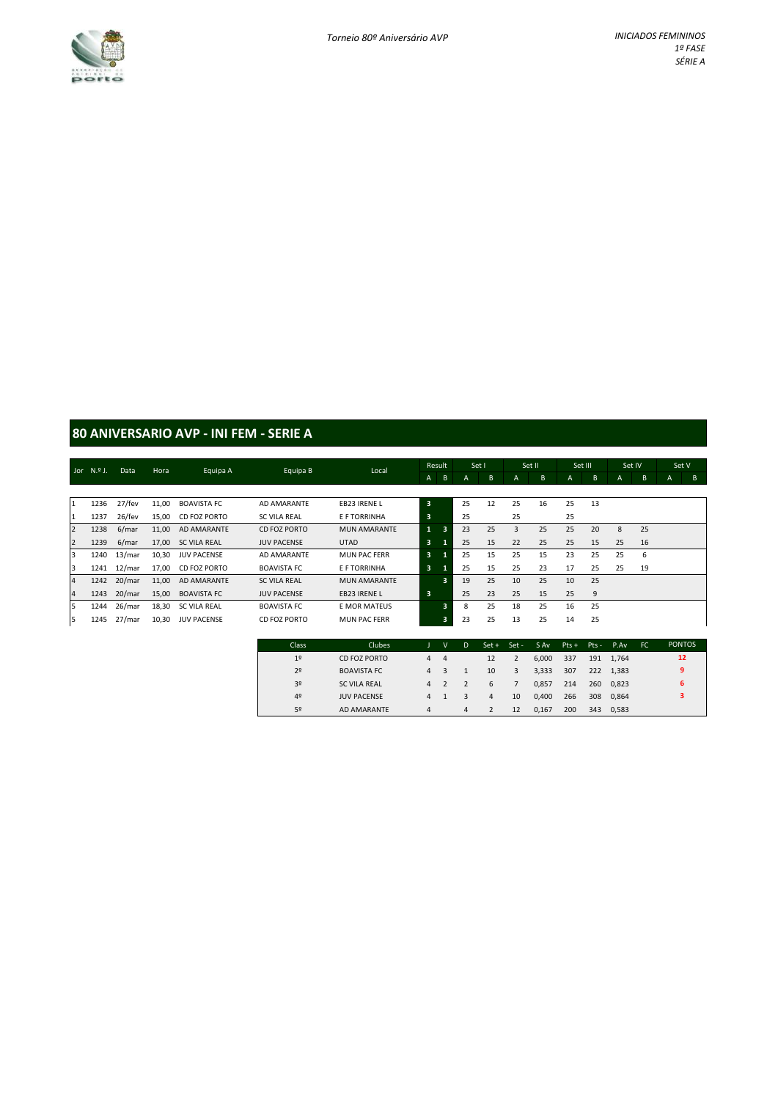

### **80 ANIVERSARIO AVP - INI FEM - SERIE A**

|                | Jor $N.9$ J. | Data   | Hora  | Equipa A            | Equipa B            | Local               |              | Result | Set I |    | Set II |    |    | Set III | Set IV |    | Set V          |   |
|----------------|--------------|--------|-------|---------------------|---------------------|---------------------|--------------|--------|-------|----|--------|----|----|---------|--------|----|----------------|---|
|                |              |        |       |                     |                     |                     | $\mathsf{A}$ | B      | A     | B  | A      | B  | A  | B       | A      | B  | $\overline{A}$ | B |
|                |              |        |       |                     |                     |                     |              |        |       |    |        |    |    |         |        |    |                |   |
| I1             | 1236         | 27/fev | 11,00 | <b>BOAVISTA FC</b>  | AD AMARANTE         | EB23 IRENE L        | 3            |        | 25    | 12 | 25     | 16 | 25 | 13      |        |    |                |   |
| 1              | 1237         | 26/fev | 15.00 | CD FOZ PORTO        | SC VILA REAL        | E F TORRINHA        | 3            |        | 25    |    | 25     |    | 25 |         |        |    |                |   |
| $\overline{2}$ | 1238         | 6/mar  | 11,00 | AD AMARANTE         | CD FOZ PORTO        | <b>MUN AMARANTE</b> | $\mathbf{1}$ | 3      | 23    | 25 | 3      | 25 | 25 | 20      | 8      | 25 |                |   |
| $\overline{2}$ | 1239         | 6/mar  | 17.00 | <b>SC VILA REAL</b> | <b>JUV PACENSE</b>  | <b>UTAD</b>         | 3            |        | 25    | 15 | 22     | 25 | 25 | 15      | 25     | 16 |                |   |
| 3              | 1240         | 13/mar | 10.30 | <b>JUV PACENSE</b>  | AD AMARANTE         | <b>MUN PAC FERR</b> | 3            |        | 25    | 15 | 25     | 15 | 23 | 25      | 25     | 6  |                |   |
| 13             | 1241         | 12/mar | 17.00 | CD FOZ PORTO        | <b>BOAVISTA FC</b>  | E F TORRINHA        | 3            |        | 25    | 15 | 25     | 23 | 17 | 25      | 25     | 19 |                |   |
| $\overline{4}$ | 1242         | 20/mar | 11,00 | AD AMARANTE         | <b>SC VILA REAL</b> | <b>MUN AMARANTE</b> |              | 3      | 19    | 25 | 10     | 25 | 10 | 25      |        |    |                |   |
| $\overline{4}$ | 1243         | 20/mar | 15,00 | <b>BOAVISTA FC</b>  | <b>JUV PACENSE</b>  | EB23 IRENE L        | 3            |        | 25    | 23 | 25     | 15 | 25 | 9       |        |    |                |   |
| 5              | 1244         | 26/mar | 18,30 | <b>SC VILA REAL</b> | <b>BOAVISTA FC</b>  | <b>E MOR MATEUS</b> |              | з      | 8     | 25 | 18     | 25 | 16 | 25      |        |    |                |   |
| 5              | 1245         | 27/mar | 10,30 | <b>JUV PACENSE</b>  | CD FOZ PORTO        | <b>MUN PAC FERR</b> |              | 3      | 23    | 25 | 13     | 25 | 14 | 25      |        |    |                |   |

| <b>Class</b>   | Clubes              |   | v              | D | $Set +$ | Set - | S Av  | $PtS +$ | $Pts -$ | P.Av      | . FC | <b>PONTOS</b> |
|----------------|---------------------|---|----------------|---|---------|-------|-------|---------|---------|-----------|------|---------------|
| 1 <sup>°</sup> | CD FOZ PORTO        | 4 | $\overline{4}$ |   | 12      |       | 6.000 | 337     |         | 191 1.764 |      | 12            |
| 2 <sup>o</sup> | <b>BOAVISTA FC</b>  | 4 | 3              |   | 10      | 3     | 3.333 | 307     |         | 222 1.383 |      | 9             |
| 3 <sup>o</sup> | <b>SC VILA REAL</b> | 4 |                |   | 6       |       | 0.857 | 214     | 260     | 0.823     |      | 6             |
| 4 <sup>°</sup> | <b>JUV PACENSE</b>  | 4 |                | 3 | 4       | 10    | 0.400 | 266     | 308     | 0.864     |      | з             |
| 5º             | AD AMARANTE         | 4 |                | 4 |         | 12    | 0,167 | 200     | 343     | 0.583     |      |               |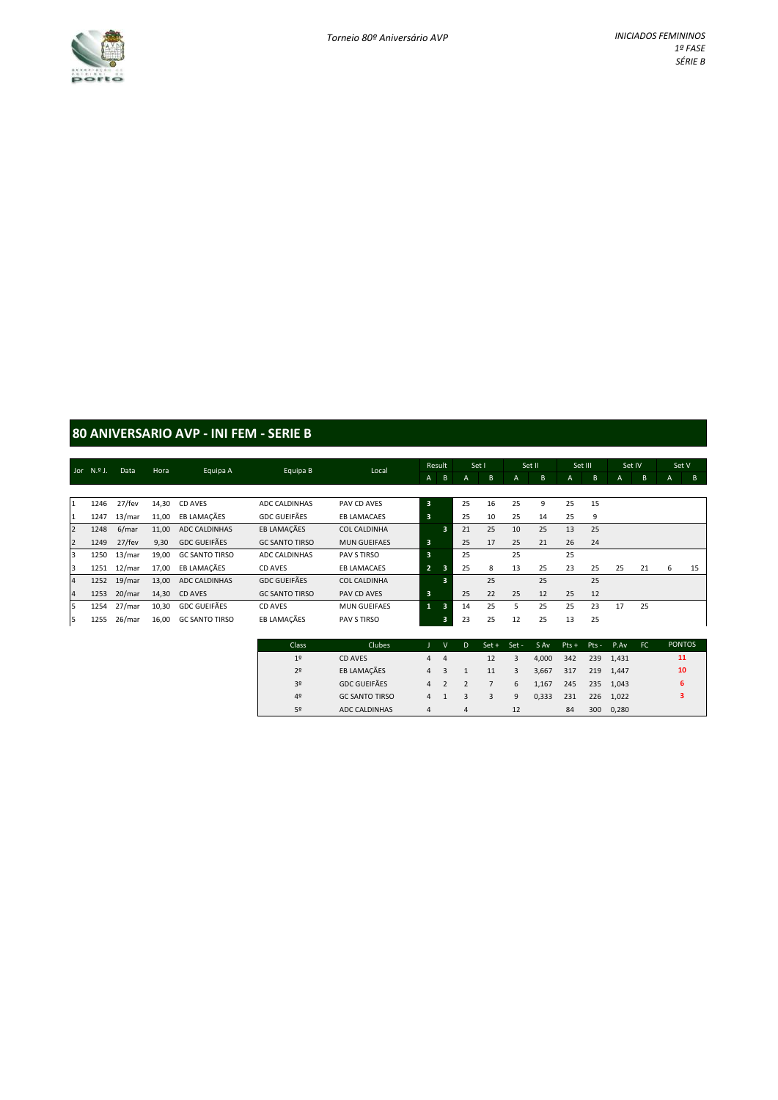

### **80 ANIVERSARIO AVP - INI FEM - SERIE B**

|                | Jor $N.9$ J. | Data   | Hora  |                       | Equipa B              | Local               |                         | Result |    | Set I |                | Set II |    | Set III |              | Set IV |   | Set V |
|----------------|--------------|--------|-------|-----------------------|-----------------------|---------------------|-------------------------|--------|----|-------|----------------|--------|----|---------|--------------|--------|---|-------|
|                |              |        |       | Equipa A              |                       |                     | A                       | B      | A  | B     | $\overline{A}$ | B      | A  | B       | $\mathsf{A}$ | B      | A | B     |
|                |              |        |       |                       |                       |                     |                         |        |    |       |                |        |    |         |              |        |   |       |
| $\mathbf{1}$   | 1246         | 27/fev | 14,30 | CD AVES               | ADC CALDINHAS         | PAV CD AVES         | $\overline{\mathbf{3}}$ |        | 25 | 16    | 25             | 9      | 25 | 15      |              |        |   |       |
| $\mathbf{1}$   | 1247         | 13/mar | 11,00 | EB LAMACÃES           | <b>GDC GUEIFÃES</b>   | <b>EB LAMACAES</b>  | $\overline{\mathbf{3}}$ |        | 25 | 10    | 25             | 14     | 25 | 9       |              |        |   |       |
| $\overline{2}$ | 1248         | 6/mar  | 11,00 | ADC CALDINHAS         | EB LAMAÇÃES           | <b>COL CALDINHA</b> |                         | 3      | 21 | 25    | 10             | 25     | 13 | 25      |              |        |   |       |
| $\overline{2}$ | 1249         | 27/fev | 9,30  | <b>GDC GUEIFÃES</b>   | <b>GC SANTO TIRSO</b> | <b>MUN GUEIFAES</b> | 3                       |        | 25 | 17    | 25             | 21     | 26 | 24      |              |        |   |       |
| 3              | 1250         | 13/mar | 19,00 | <b>GC SANTO TIRSO</b> | ADC CALDINHAS         | PAV S TIRSO         | $\overline{\mathbf{3}}$ |        | 25 |       | 25             |        | 25 |         |              |        |   |       |
| 3              | 1251         | 12/mar | 17.00 | EB LAMACÃES           | CD AVES               | <b>EB LAMACAES</b>  | -2.                     | 3      | 25 | 8     | 13             | 25     | 23 | 25      | 25           | 21     | 6 | 15    |
| $\overline{a}$ | 1252         | 19/mar | 13,00 | ADC CALDINHAS         | <b>GDC GUEIFÃES</b>   | <b>COL CALDINHA</b> |                         | 3      |    | 25    |                | 25     |    | 25      |              |        |   |       |
| $\overline{4}$ | 1253         | 20/mar | 14,30 | CD AVES               | <b>GC SANTO TIRSO</b> | PAV CD AVES         | 3                       |        | 25 | 22    | 25             | 12     | 25 | 12      |              |        |   |       |
| 5              | 1254         | 27/mar | 10,30 | <b>GDC GUEIFÃES</b>   | CD AVES               | <b>MUN GUEIFAES</b> | $\mathbf{1}$            | 3      | 14 | 25    | 5.             | 25     | 25 | 23      | 17           | 25     |   |       |
| 5              | 1255         | 26/mar | 16,00 | <b>GC SANTO TIRSO</b> | EB LAMAÇÃES           | PAV S TIRSO         |                         | 3      | 23 | 25    | 12             | 25     | 13 | 25      |              |        |   |       |

| Class          | Clubes                |   | v              | D | $Set +$ | Set - | S Av  | $Pts +$ | $Pts -$ | P.Av      | FC. | <b>PONTOS</b> |
|----------------|-----------------------|---|----------------|---|---------|-------|-------|---------|---------|-----------|-----|---------------|
| 1 <sup>°</sup> | CD AVES               | 4 | $\overline{4}$ |   | 12      | 3     | 4.000 | 342     |         | 239 1.431 |     | 11            |
| 2 <sup>°</sup> | EB LAMAÇÃES           | 4 |                |   | 11      | 3     | 3.667 | 317     | 219     | 1.447     |     | 10            |
| 3 <sup>o</sup> | <b>GDC GUEIFÃES</b>   | 4 |                |   |         | 6     | 1.167 | 245     | 235     | 1.043     |     | 6             |
| 4 <sup>°</sup> | <b>GC SANTO TIRSO</b> | 4 |                |   | 3       | 9     | 0,333 | 231     | 226     | 1.022     |     | 3             |
| 5º             | ADC CALDINHAS         | 4 |                | 4 |         | 12    |       | 84      | 300     | 0,280     |     |               |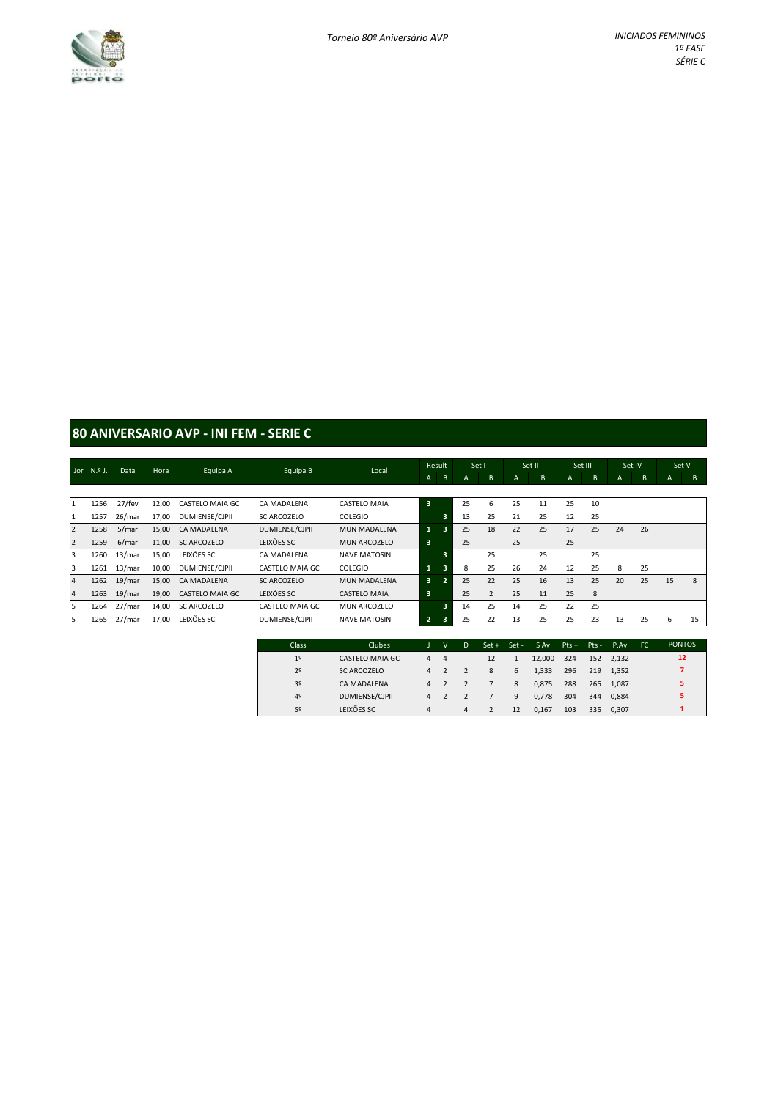

### **80 ANIVERSARIO AVP - INI FEM - SERIE C**

|                |              |        |       |                 |                    |                     |                         | Result         |    | Set I          |                | Set II |    | Set III | Set IV |    | Set V |    |
|----------------|--------------|--------|-------|-----------------|--------------------|---------------------|-------------------------|----------------|----|----------------|----------------|--------|----|---------|--------|----|-------|----|
|                | Jor $N.9$ J. | Data   | Hora  | Equipa A        | Equipa B           | Local               | $\mathsf{A}$            | B              | A  | B.             | $\overline{A}$ | B      | A  | B       | A      | B  | A     | B  |
|                |              |        |       |                 |                    |                     |                         |                |    |                |                |        |    |         |        |    |       |    |
| 1              | 1256         | 27/fev | 12.00 | CASTELO MAIA GC | CA MADALENA        | CASTELO MAIA        | $\overline{\mathbf{3}}$ |                | 25 | 6              | 25             | 11     | 25 | 10      |        |    |       |    |
| 1              | 1257         | 26/mar | 17.00 | DUMIENSE/CJPII  | SC ARCOZELO        | <b>COLEGIO</b>      |                         | 3              | 13 | 25             | 21             | 25     | 12 | 25      |        |    |       |    |
| $\overline{2}$ | 1258         | 5/mar  | 15,00 | CA MADALENA     | DUMIENSE/CJPII     | <b>MUN MADALENA</b> | $\mathbf{1}$            | 3              | 25 | 18             | 22             | 25     | 17 | 25      | 24     | 26 |       |    |
| $\overline{2}$ | 1259         | 6/mar  | 11.00 | SC ARCOZELO     | LEIXÕES SC         | MUN ARCOZELO        | 3                       |                | 25 |                | 25             |        | 25 |         |        |    |       |    |
| 3              | 1260         | 13/mar | 15,00 | LEIXÕES SC      | CA MADALENA        | <b>NAVE MATOSIN</b> |                         | 3              |    | 25             |                | 25     |    | 25      |        |    |       |    |
| 3              | 1261         | 13/mar | 10,00 | DUMIENSE/CJPII  | CASTELO MAIA GC    | <b>COLEGIO</b>      | $\mathbf{1}$            | 3              | 8  | 25             | 26             | 24     | 12 | 25      | 8      | 25 |       |    |
| $\overline{4}$ | 1262         | 19/mar | 15.00 | CA MADALENA     | <b>SC ARCOZELO</b> | <b>MUN MADALENA</b> | 3                       | $\overline{2}$ | 25 | 22             | 25             | 16     | 13 | 25      | 20     | 25 | 15    | 8  |
| $\overline{4}$ | 1263         | 19/mar | 19,00 | CASTELO MAIA GC | LEIXÕES SC         | <b>CASTELO MAIA</b> | $\overline{\mathbf{3}}$ |                | 25 | $\overline{2}$ | 25             | 11     | 25 | 8       |        |    |       |    |
| 5              | 1264         | 27/mar | 14.00 | SC ARCOZELO     | CASTELO MAIA GC    | MUN ARCOZELO        |                         | 3              | 14 | 25             | 14             | 25     | 22 | 25      |        |    |       |    |
| 5              | 1265         | 27/mar | 17,00 | LEIXÕES SC      | DUMIENSE/CJPII     | <b>NAVE MATOSIN</b> | $\overline{2}$          | 3              | 25 | 22             | 13             | 25     | 25 | 23      | 13     | 25 | 6     | 15 |

| Class          | Clubes             |                | $\mathsf{V}$   | D              | $Set +$ | $Set -$ | S Av   | $PtS +$ | $Pts -$ | P.Av      | FC. | <b>PONTOS</b> |
|----------------|--------------------|----------------|----------------|----------------|---------|---------|--------|---------|---------|-----------|-----|---------------|
| 1 <sup>°</sup> | CASTELO MAIA GC    | 4              | $\overline{4}$ |                | 12      |         | 12,000 | 324     |         | 152 2.132 |     | 12            |
| 2 <sup>o</sup> | <b>SC ARCOZELO</b> | $\overline{a}$ |                |                | 8       | 6       | 1,333  | 296     | 219     | 1.352     |     |               |
| 3 <sup>o</sup> | CA MADALENA        | $\overline{a}$ |                |                |         | 8       | 0.875  | 288     | 265     | 1.087     |     | 5             |
| 4 <sup>°</sup> | DUMIENSE/CJPII     | 4              |                |                |         | 9       | 0,778  | 304     | 344     | 0.884     |     | 5             |
| 52             | LEIXÕES SC         | 4              |                | $\overline{a}$ |         | 12      | 0.167  | 103     | 335     | 0.307     |     |               |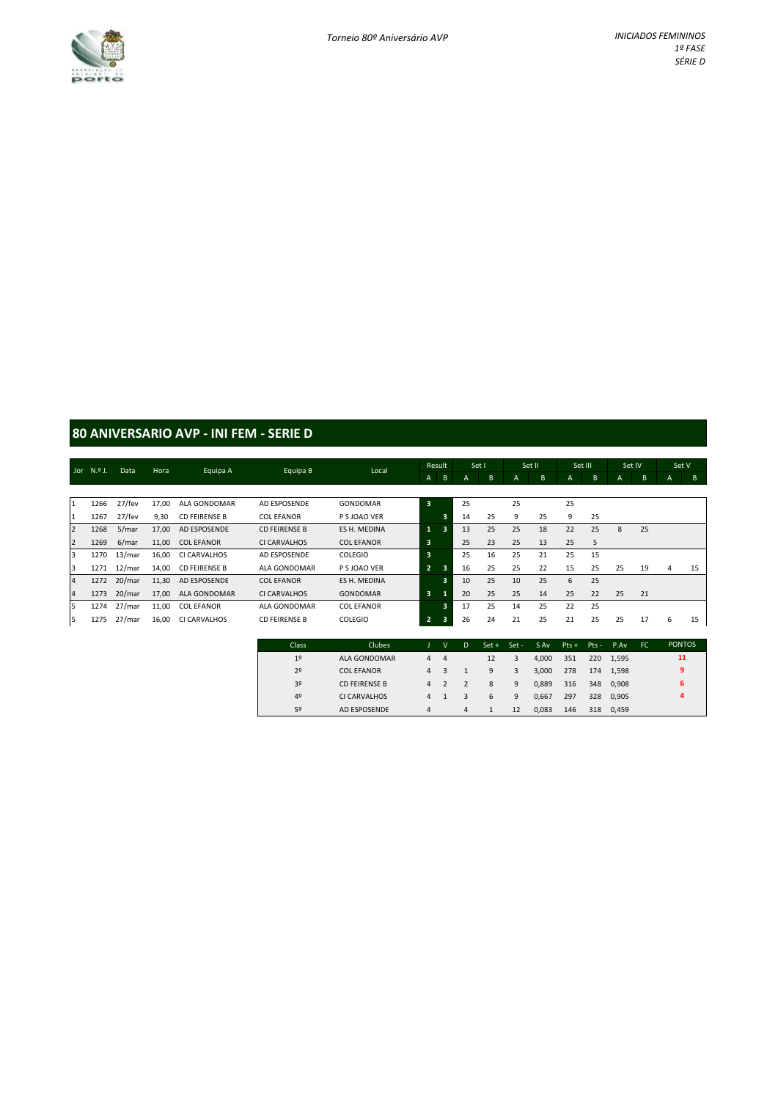

### **80 ANIVERSARIO AVP - INI FEM - SERIE D**

|                |      |           |       |                      |                      |                   |                | Result |    | Set I |                | Set II |    | Set III | Set IV |    | Set V |    |
|----------------|------|-----------|-------|----------------------|----------------------|-------------------|----------------|--------|----|-------|----------------|--------|----|---------|--------|----|-------|----|
| Jor $N.9$ J.   |      | Data      | Hora  | Equipa A             | Equipa B             | Local             | $\mathsf{A}$   | B      | A  | B     | $\overline{A}$ | B      | A  | B       | A      | B  | A     | B  |
|                |      |           |       |                      |                      |                   |                |        |    |       |                |        |    |         |        |    |       |    |
| 1              | 1266 | 27/fev    | 17.00 | ALA GONDOMAR         | AD ESPOSENDE         | GONDOMAR          | 3              |        | 25 |       | 25             |        | 25 |         |        |    |       |    |
| 11             | 1267 | 27/fev    | 9,30  | <b>CD FEIRENSE B</b> | <b>COL EFANOR</b>    | P S JOAO VER      |                | 3      | 14 | 25    | 9              | 25     | 9  | 25      |        |    |       |    |
| $\overline{2}$ | 1268 | 5/mar     | 17,00 | AD ESPOSENDE         | <b>CD FEIRENSE B</b> | ES H. MEDINA      | $\mathbf{1}$   | 3      | 13 | 25    | 25             | 18     | 22 | 25      | 8      | 25 |       |    |
| $\overline{2}$ | 1269 | 6/mar     | 11,00 | <b>COL EFANOR</b>    | CI CARVALHOS         | <b>COL EFANOR</b> | 3              |        | 25 | 23    | 25             | 13     | 25 | 5       |        |    |       |    |
| 3              | 1270 | 13/mar    | 16,00 | CI CARVALHOS         | AD ESPOSENDE         | <b>COLEGIO</b>    | 3              |        | 25 | 16    | 25             | 21     | 25 | 15      |        |    |       |    |
| 3              | 1271 | $12/m$ ar | 14,00 | <b>CD FEIRENSE B</b> | ALA GONDOMAR         | P S JOAO VER      | $\overline{2}$ | 3      | 16 | 25    | 25             | 22     | 15 | 25      | 25     | 19 | 4     | 15 |
| $\overline{4}$ | 1272 | 20/mar    | 11,30 | AD ESPOSENDE         | <b>COL EFANOR</b>    | ES H. MEDINA      |                | з      | 10 | 25    | 10             | 25     | 6  | 25      |        |    |       |    |
| $\overline{4}$ | 1273 | 20/mar    | 17,00 | ALA GONDOMAR         | CI CARVALHOS         | <b>GONDOMAR</b>   | 3              |        | 20 | 25    | 25             | 14     | 25 | 22      | 25     | 21 |       |    |
| 5              | 1274 | 27/mar    | 11,00 | <b>COL EFANOR</b>    | ALA GONDOMAR         | <b>COL EFANOR</b> |                | 3      | 17 | 25    | 14             | 25     | 22 | 25      |        |    |       |    |
| 5              | 1275 | 27/mar    | 16,00 | CI CARVALHOS         | <b>CD FEIRENSE B</b> | <b>COLEGIO</b>    | $\overline{2}$ | 3      | 26 | 24    | 21             | 25     | 21 | 25      | 25     | 17 | 6     | 15 |

| Class          | Clubes            |                | $\mathsf{V}$ | D | $Set +$ | $Set -$ | S Av  | $Pts +$ | $Pts -$ | P.Av      | FC. | <b>PONTOS</b> |
|----------------|-------------------|----------------|--------------|---|---------|---------|-------|---------|---------|-----------|-----|---------------|
| 1 <sup>°</sup> | ALA GONDOMAR      | 4              | 4            |   | 12      | 3       | 4.000 | 351     |         | 220 1.595 |     | 11            |
| 2 <sup>o</sup> | <b>COL EFANOR</b> | 4              |              |   | 9       | 3       | 3.000 | 278     | 174     | 1.598     |     | 9             |
| 3 <sup>o</sup> | CD FEIRENSE B     | $\overline{a}$ |              |   | 8       | 9       | 0.889 | 316     | 348     | 0.908     |     | 6             |
| 4 <sup>°</sup> | CI CARVALHOS      | 4              |              |   | 6       | 9       | 0.667 | 297     | 328     | 0.905     |     | 4             |
| 5º             | AD ESPOSENDE      | 4              |              | 4 |         | 12      | 0.083 | 146     | 318     | 0.459     |     |               |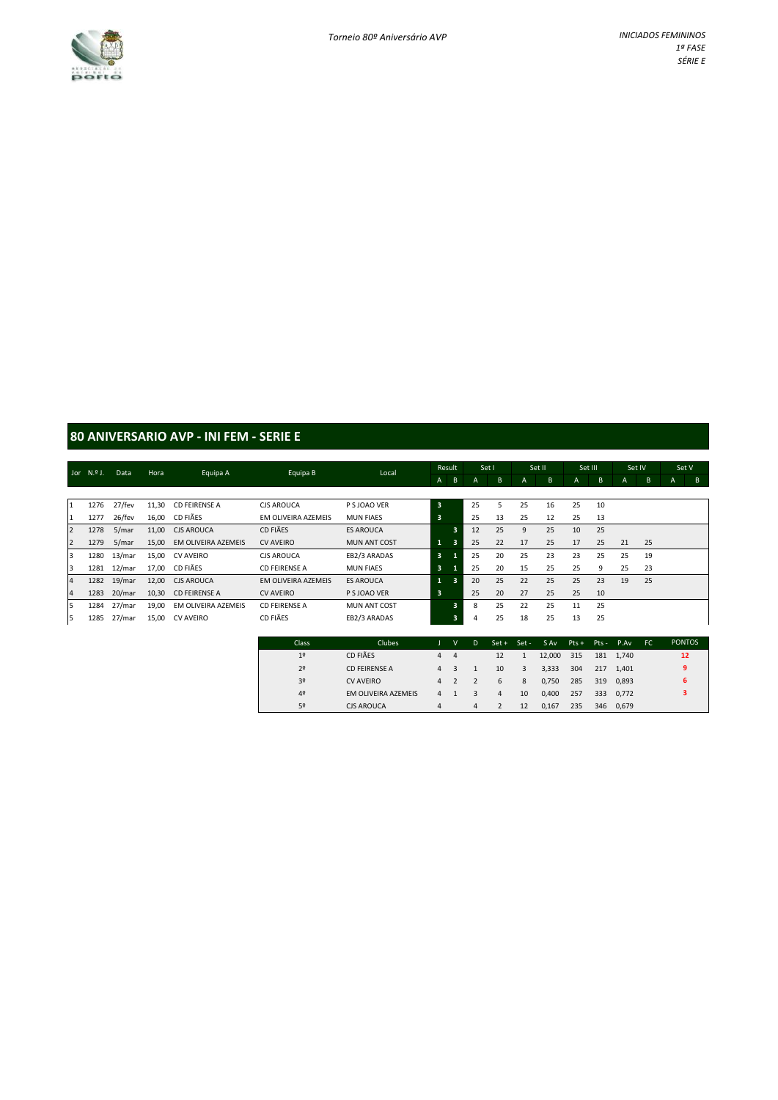

### **80 ANIVERSARIO AVP - INI FEM - SERIE E**

|   |              |        |       |                      |                      |                     |                         | Result                  | Set I |    | Set II |    | Set III |    | Set IV |    |   | Set V |  |
|---|--------------|--------|-------|----------------------|----------------------|---------------------|-------------------------|-------------------------|-------|----|--------|----|---------|----|--------|----|---|-------|--|
|   | Jor $N.9$ J. | Data   | Hora  | Equipa A             | Equipa B             | Local               | $\mathsf{A}$            | B                       | A     | B  | A      | B  | A       | B  | A      | B  | A | B     |  |
|   |              |        |       |                      |                      |                     |                         |                         |       |    |        |    |         |    |        |    |   |       |  |
|   | 1276         | 27/fev | 11,30 | <b>CD FEIRENSE A</b> | <b>CJS AROUCA</b>    | P S JOAO VER        | $\overline{\mathbf{3}}$ |                         | 25    | 5  | 25     | 16 | 25      | 10 |        |    |   |       |  |
|   | 1277         | 26/fev | 16,00 | CD FIÃES             | EM OLIVEIRA AZEMEIS  | <b>MUN FIAES</b>    | 3                       |                         | 25    | 13 | 25     | 12 | 25      | 13 |        |    |   |       |  |
|   | 1278         | 5/mar  | 11,00 | <b>CJS AROUCA</b>    | CD FIÃES             | <b>ES AROUCA</b>    |                         | в                       | 12    | 25 | 9      | 25 | 10      | 25 |        |    |   |       |  |
| 2 | 1279         | 5/mar  | 15,00 | EM OLIVEIRA AZEMEIS  | <b>CV AVEIRO</b>     | <b>MUN ANT COST</b> | $\mathbf{1}$            | 3                       | 25    | 22 | 17     | 25 | 17      | 25 | 21     | 25 |   |       |  |
| 3 | 1280         | 13/mar | 15,00 | <b>CV AVEIRO</b>     | <b>CJS AROUCA</b>    | EB2/3 ARADAS        | $\overline{\mathbf{3}}$ |                         | 25    | 20 | 25     | 23 | 23      | 25 | 25     | 19 |   |       |  |
| 3 | 1281         | 12/mar | 17.00 | CD FIÃES             | <b>CD FEIRENSE A</b> | <b>MUN FIAES</b>    | $\overline{\mathbf{3}}$ | -1                      | 25    | 20 | 15     | 25 | 25      | 9  | 25     | 23 |   |       |  |
| 4 | 1282         | 19/mar | 12,00 | <b>CJS AROUCA</b>    | EM OLIVEIRA AZEMEIS  | <b>ES AROUCA</b>    | 1                       | $\overline{\mathbf{3}}$ | 20    | 25 | 22     | 25 | 25      | 23 | 19     | 25 |   |       |  |
| 4 | 1283         | 20/mar | 10,30 | <b>CD FEIRENSE A</b> | <b>CV AVEIRO</b>     | P S JOAO VER        | 3                       |                         | 25    | 20 | 27     | 25 | 25      | 10 |        |    |   |       |  |
| 5 | 1284         | 27/mar | 19,00 | EM OLIVEIRA AZEMEIS  | <b>CD FEIRENSE A</b> | <b>MUN ANT COST</b> |                         | $\overline{\mathbf{3}}$ | 8     | 25 | 22     | 25 | 11      | 25 |        |    |   |       |  |
| 5 | 1285         | 27/mar | 15,00 | <b>CV AVEIRO</b>     | CD FIÃES             | EB2/3 ARADAS        |                         | 3                       | 4     | 25 | 18     | 25 | 13      | 25 |        |    |   |       |  |
|   |              |        |       |                      |                      |                     |                         |                         |       |    |        |    |         |    |        |    |   |       |  |

| Class          | Clubes               |   | v           | D. |    | Set + Set - | S Av   |     |     | $Pts + Pts - P.Av$ | FC. | <b>PONTOS</b> |
|----------------|----------------------|---|-------------|----|----|-------------|--------|-----|-----|--------------------|-----|---------------|
| 1 <sup>°</sup> | CD FIÃES             |   | $4 \quad 4$ |    | 12 | 1           | 12,000 | 315 |     | 181 1.740          |     | 12            |
| 2 <sup>o</sup> | <b>CD FEIRENSE A</b> | 4 |             |    | 10 | 3           | 3,333  | 304 | 217 | 1.401              |     | q             |
| 3 <sup>o</sup> | <b>CV AVEIRO</b>     | 4 |             |    | 6  | 8           | 0,750  | 285 |     | 319 0.893          |     |               |
| 4º             | EM OLIVEIRA AZEMEIS  | 4 |             | 3  | 4  | 10          | 0,400  | 257 |     | 333 0.772          |     |               |
| 52             | <b>CJS AROUCA</b>    | 4 |             | 4  |    | 12          | 0.167  | 235 | 346 | 0.679              |     |               |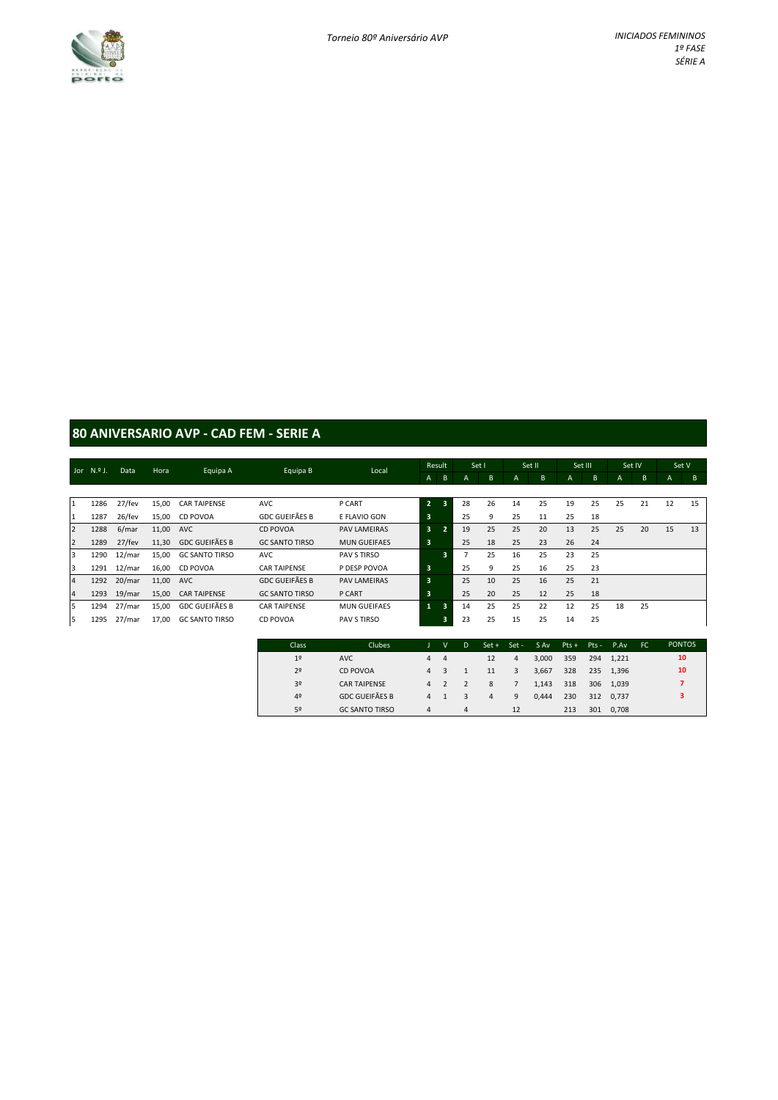

### **80 ANIVERSARIO AVP - CAD FEM - SERIE A**

|                | Jor N.º J. | Data      | Hora  | Equipa A              | Equipa B              | Local               |                | Result                  | Set I          |    | Set II |    | Set III |    | Set IV       |    | Set V          |    |
|----------------|------------|-----------|-------|-----------------------|-----------------------|---------------------|----------------|-------------------------|----------------|----|--------|----|---------|----|--------------|----|----------------|----|
|                |            |           |       |                       |                       |                     | A              | B                       | A              | B  | A      | B  | A       | B  | $\mathsf{A}$ | B  | $\overline{A}$ | B  |
|                |            |           |       |                       |                       |                     |                |                         |                |    |        |    |         |    |              |    |                |    |
| 1              | 1286       | 27/fev    | 15,00 | <b>CAR TAIPENSE</b>   | <b>AVC</b>            | P CART              | $\overline{2}$ | $\overline{\mathbf{3}}$ | 28             | 26 | 14     | 25 | 19      | 25 | 25           | 21 | 12             | 15 |
| I1             | 1287       | 26/fev    | 15,00 | CD POVOA              | <b>GDC GUEIFÃES B</b> | E FLAVIO GON        | .3'            |                         | 25             | 9  | 25     | 11 | 25      | 18 |              |    |                |    |
| $\overline{2}$ | 1288       | 6/mar     | 11,00 | <b>AVC</b>            | <b>CD POVOA</b>       | <b>PAV LAMEIRAS</b> | 3              | $\overline{2}$          | 19             | 25 | 25     | 20 | 13      | 25 | 25           | 20 | 15             | 13 |
| $\overline{2}$ | 1289       | 27/fev    | 11,30 | <b>GDC GUEIFÃES B</b> | <b>GC SANTO TIRSO</b> | <b>MUN GUEIFAES</b> | 3              |                         | 25             | 18 | 25     | 23 | 26      | 24 |              |    |                |    |
| 3              | 1290       | $12/m$ ar | 15,00 | <b>GC SANTO TIRSO</b> | <b>AVC</b>            | PAV S TIRSO         |                | 3                       | $\overline{7}$ | 25 | 16     | 25 | 23      | 25 |              |    |                |    |
| 3              | 1291       | 12/mar    | 16,00 | CD POVOA              | <b>CAR TAIPENSE</b>   | P DESP POVOA        | 3              |                         | 25             | 9  | 25     | 16 | 25      | 23 |              |    |                |    |
| $\overline{4}$ | 1292       | 20/mar    | 11,00 | <b>AVC</b>            | <b>GDC GUEIFÃES B</b> | <b>PAV LAMEIRAS</b> | 3              |                         | 25             | 10 | 25     | 16 | 25      | 21 |              |    |                |    |
| $\overline{4}$ | 1293       | 19/mar    | 15,00 | <b>CAR TAIPENSE</b>   | <b>GC SANTO TIRSO</b> | P CART              | 3              |                         | 25             | 20 | 25     | 12 | 25      | 18 |              |    |                |    |
| 5              | 1294       | 27/mar    | 15,00 | <b>GDC GUEIFÃES B</b> | <b>CAR TAIPENSE</b>   | <b>MUN GUEIFAES</b> | 1              | 3                       | 14             | 25 | 25     | 22 | 12      | 25 | 18           | 25 |                |    |
| l5             | 1295       | 27/mar    | 17,00 | <b>GC SANTO TIRSO</b> | CD POVOA              | PAV S TIRSO         |                | 3                       | 23             | 25 | 15     | 25 | 14      | 25 |              |    |                |    |

| Class          | Clubes                |     | v              | -D. | $Set +$        | $Set -$ | S Av  | Pts + Pts - P.Av |     |           | FC. | <b>PONTOS</b> |
|----------------|-----------------------|-----|----------------|-----|----------------|---------|-------|------------------|-----|-----------|-----|---------------|
| 1 <sup>°</sup> | <b>AVC</b>            | 4   | $\overline{4}$ |     | 12             | 4       | 3.000 | 359              |     | 294 1.221 |     | 10            |
| 2 <sup>°</sup> | <b>CD POVOA</b>       | 4 3 |                |     | 11             | 3       | 3,667 | 328              |     | 235 1.396 |     | 10            |
| 3 <sup>o</sup> | <b>CAR TAIPENSE</b>   |     | 4 2            |     | 8              |         | 1.143 | 318              |     | 306 1.039 |     |               |
| 4 <sup>°</sup> | <b>GDC GUEIFÃES B</b> | 4   |                | 3   | $\overline{4}$ | 9       | 0.444 | 230              |     | 312 0.737 |     | 3             |
| 5º             | <b>GC SANTO TIRSO</b> | 4   |                | 4   |                | 12      |       | 213              | 301 | 0,708     |     |               |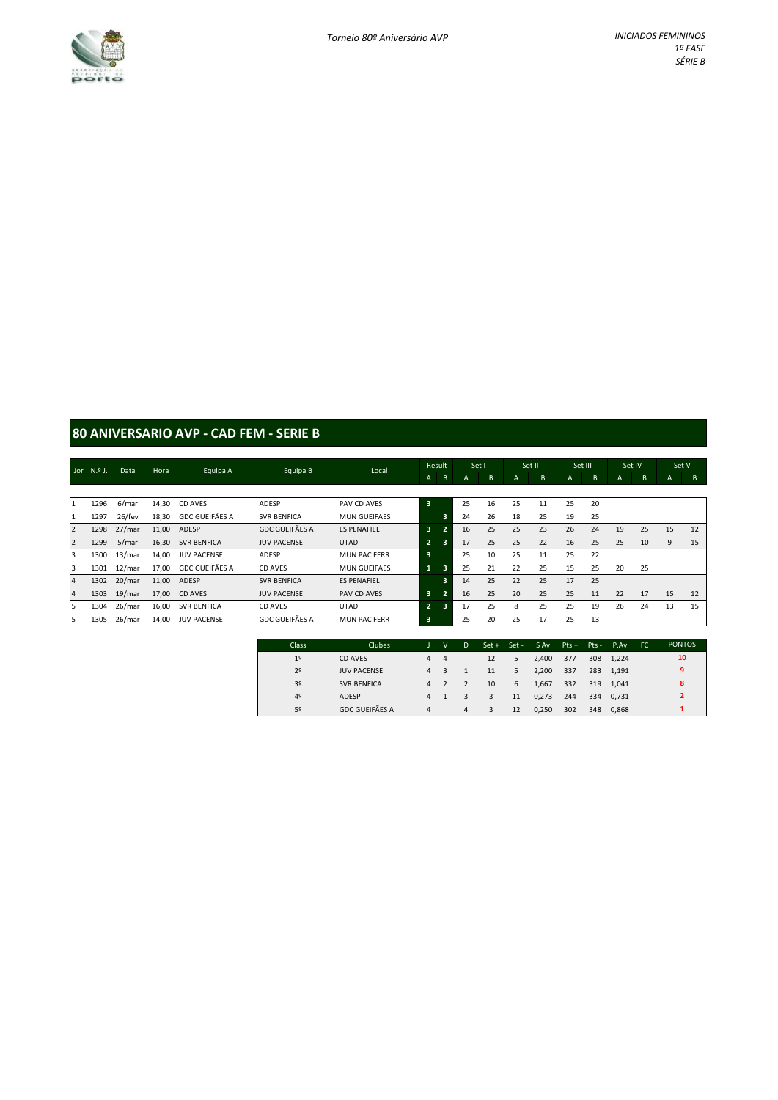

### **80 ANIVERSARIO AVP - CAD FEM - SERIE B**

|                | Jor $N9$ J. | Data   | Hora  |                       | Equipa B              | Local               |                | Result         | Set I |    | Set II |    | Set III |    | Set IV |    | Set V |    |
|----------------|-------------|--------|-------|-----------------------|-----------------------|---------------------|----------------|----------------|-------|----|--------|----|---------|----|--------|----|-------|----|
|                |             |        |       | Equipa A              |                       |                     | A              | B              | A     | B  | A      | B  | A       | B  | A      | B  | A     | B  |
|                |             |        |       |                       |                       |                     |                |                |       |    |        |    |         |    |        |    |       |    |
| $\mathbf{1}$   | 1296        | 6/mar  | 14,30 | CD AVES               | ADESP                 | PAV CD AVES         | 3              |                | 25    | 16 | 25     | 11 | 25      | 20 |        |    |       |    |
| 1              | 1297        | 26/fev | 18,30 | <b>GDC GUEIFÃES A</b> | <b>SVR BENFICA</b>    | <b>MUN GUEIFAES</b> |                | 3              | 24    | 26 | 18     | 25 | 19      | 25 |        |    |       |    |
| $\overline{2}$ | 1298        | 27/mar | 11,00 | ADESP                 | <b>GDC GUEIFÃES A</b> | <b>ES PENAFIEL</b>  | 3              | $\overline{2}$ | 16    | 25 | 25     | 23 | 26      | 24 | 19     | 25 | 15    | 12 |
| $\overline{2}$ | 1299        | 5/mar  | 16,30 | <b>SVR BENFICA</b>    | <b>JUV PACENSE</b>    | <b>UTAD</b>         | $\overline{2}$ | 3              | 17    | 25 | 25     | 22 | 16      | 25 | 25     | 10 | 9     | 15 |
| 3              | 1300        | 13/mar | 14,00 | <b>JUV PACENSE</b>    | ADESP                 | <b>MUN PAC FERR</b> | 3              |                | 25    | 10 | 25     | 11 | 25      | 22 |        |    |       |    |
| 3              | 1301        | 12/mar | 17,00 | GDC GUEIFÃES A        | CD AVES               | <b>MUN GUEIFAES</b> | 1              | 3              | 25    | 21 | 22     | 25 | 15      | 25 | 20     | 25 |       |    |
| $\overline{a}$ | 1302        | 20/mar | 11,00 | ADESP                 | <b>SVR BENFICA</b>    | <b>ES PENAFIEL</b>  |                | 3              | 14    | 25 | 22     | 25 | 17      | 25 |        |    |       |    |
| $\overline{4}$ | 1303        | 19/mar | 17,00 | CD AVES               | <b>JUV PACENSE</b>    | PAV CD AVES         | 3              | $\overline{2}$ | 16    | 25 | 20     | 25 | 25      | 11 | 22     | 17 | 15    | 12 |
| 5              | 1304        | 26/mar | 16,00 | <b>SVR BENFICA</b>    | CD AVES               | <b>UTAD</b>         | $\overline{2}$ | 3              | 17    | 25 | 8      | 25 | 25      | 19 | 26     | 24 | 13    | 15 |
| 5              | 1305        | 26/mar | 14,00 | <b>JUV PACENSE</b>    | <b>GDC GUEIFÃES A</b> | <b>MUN PAC FERR</b> | 3              |                | 25    | 20 | 25     | 17 | 25      | 13 |        |    |       |    |

| Class          | Clubes                |                | v              | D              |    | Set + Set - | S Av  | Pts + Pts - P.Av |     |           | EC. | <b>PONTOS</b>            |  |
|----------------|-----------------------|----------------|----------------|----------------|----|-------------|-------|------------------|-----|-----------|-----|--------------------------|--|
| 1 <sup>°</sup> | CD AVES               | 4              | $\overline{4}$ |                | 12 | 5           | 2.400 | 377              |     | 308 1.224 |     | 10                       |  |
| 2 <sup>o</sup> | <b>JUV PACENSE</b>    | 4              |                |                | 11 | 5           | 2.200 | 337              |     | 283 1.191 |     | 9                        |  |
| 3 <sup>o</sup> | <b>SVR BENFICA</b>    | $\overline{a}$ |                |                | 10 | 6           | 1.667 | 332              |     | 319 1.041 |     | 8                        |  |
| 4 <sup>°</sup> | ADESP                 | $\overline{a}$ |                | 3              | 3  | 11          | 0.273 | 244              |     | 334 0.731 |     | $\overline{\phantom{a}}$ |  |
| 52             | <b>GDC GUEIFÃES A</b> | 4              |                | $\overline{4}$ | 3  | 12          | 0.250 | 302              | 348 | 0.868     |     |                          |  |
|                |                       |                |                |                |    |             |       |                  |     |           |     |                          |  |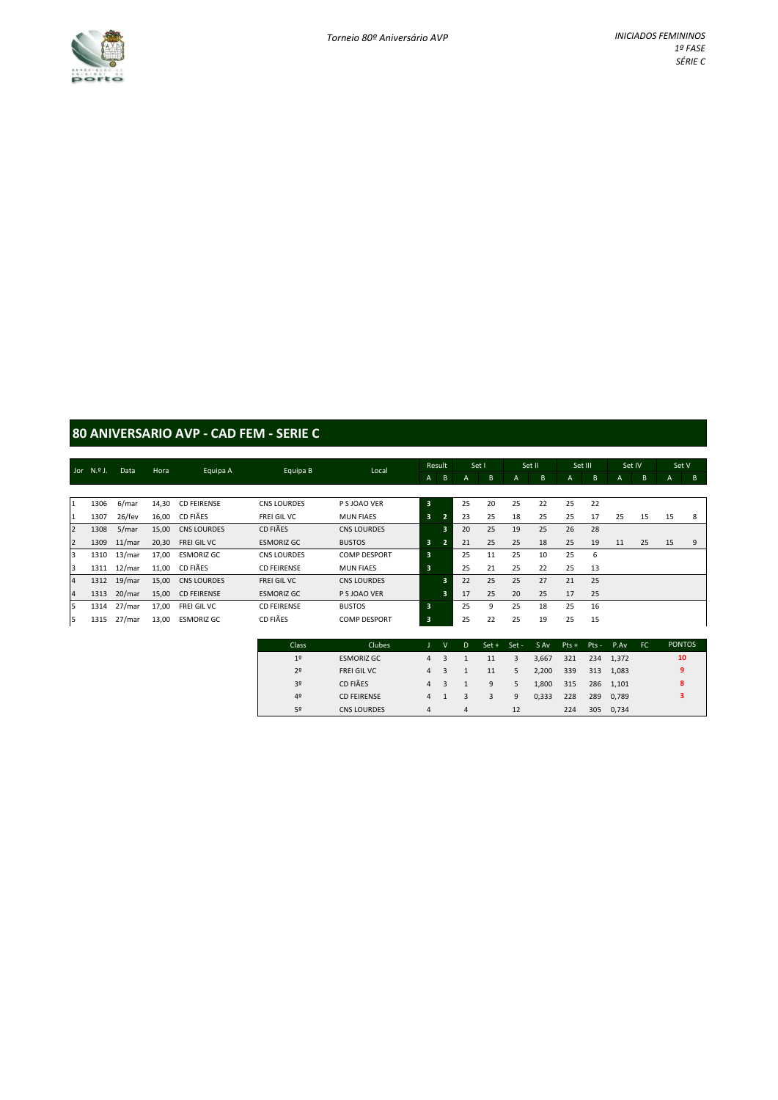

### **80 ANIVERSARIO AVP - CAD FEM - SERIE C**

|                |              | Data      |       |                    |                    |                     |                         | Result         |    | Set I |                | Set II | Set III |    |    | Set IV | Set V |   |
|----------------|--------------|-----------|-------|--------------------|--------------------|---------------------|-------------------------|----------------|----|-------|----------------|--------|---------|----|----|--------|-------|---|
|                | Jor $N.9$ J. |           | Hora  | Equipa A           | Equipa B           | Local               | A                       | B              | A  | B     | $\overline{A}$ | B      | A       | B  | A  | B      | A     | B |
|                |              |           |       |                    |                    |                     |                         |                |    |       |                |        |         |    |    |        |       |   |
| 1              | 1306         | 6/mar     | 14,30 | <b>CD FEIRENSE</b> | <b>CNS LOURDES</b> | P S JOAO VER        | 3                       |                | 25 | 20    | 25             | 22     | 25      | 22 |    |        |       |   |
| I1             | 1307         | 26/fev    | 16,00 | CD FIÃES           | FREI GIL VC        | <b>MUN FIAES</b>    | 3                       | $\overline{2}$ | 23 | 25    | 18             | 25     | 25      | 17 | 25 | 15     | 15    | 8 |
| $\overline{2}$ | 1308         | 5/mar     | 15,00 | <b>CNS LOURDES</b> | CD FIÃES           | <b>CNS LOURDES</b>  |                         | 3              | 20 | 25    | 19             | 25     | 26      | 28 |    |        |       |   |
| $\overline{2}$ | 1309         | $11/m$ ar | 20,30 | FREI GIL VC        | <b>ESMORIZ GC</b>  | <b>BUSTOS</b>       | 3                       | $\overline{2}$ | 21 | 25    | 25             | 18     | 25      | 19 | 11 | 25     | 15    | 9 |
| 3              | 1310         | 13/mar    | 17,00 | <b>ESMORIZ GC</b>  | <b>CNS LOURDES</b> | <b>COMP DESPORT</b> | 3                       |                | 25 | 11    | 25             | 10     | 25      | 6  |    |        |       |   |
| 3              | 1311         | 12/mar    | 11,00 | CD FIÃES           | <b>CD FEIRENSE</b> | <b>MUN FIAES</b>    | $\overline{\mathbf{3}}$ |                | 25 | 21    | 25             | 22     | 25      | 13 |    |        |       |   |
| $\overline{4}$ | 1312         | 19/mar    | 15,00 | <b>CNS LOURDES</b> | FREI GIL VC        | <b>CNS LOURDES</b>  |                         | 3              | 22 | 25    | 25             | 27     | 21      | 25 |    |        |       |   |
| $\overline{4}$ | 1313         | 20/mar    | 15,00 | <b>CD FEIRENSE</b> | <b>ESMORIZ GC</b>  | P S JOAO VER        |                         | 3              | 17 | 25    | 20             | 25     | 17      | 25 |    |        |       |   |
| 5              | 1314         | 27/mar    | 17,00 | FREI GIL VC        | <b>CD FEIRENSE</b> | <b>BUSTOS</b>       | 3                       |                | 25 | 9     | 25             | 18     | 25      | 16 |    |        |       |   |
| 5              | 1315         | 27/mar    | 13,00 | <b>ESMORIZ GC</b>  | CD FIÃES           | <b>COMP DESPORT</b> | 3                       |                | 25 | 22    | 25             | 19     | 25      | 15 |    |        |       |   |

| Class          | Clubes             |                | v | D | $Set +$ | Set - | S Av  | $Pts + Pts - P.Av$ |     |           | FC. | <b>PONTOS</b> |
|----------------|--------------------|----------------|---|---|---------|-------|-------|--------------------|-----|-----------|-----|---------------|
| 1 <sup>°</sup> | <b>ESMORIZ GC</b>  | $\overline{4}$ |   |   | 11      | 3     | 3,667 | 321                |     | 234 1.372 |     | 10            |
| 2 <sup>°</sup> | FREI GIL VC        | $\overline{4}$ |   |   | 11      | 5.    | 2.200 | 339                |     | 313 1.083 |     | 9             |
| 3 <sup>o</sup> | CD FIÃES           | $\overline{4}$ |   |   | 9       | 5     | 1,800 | 315                |     | 286 1.101 |     | 8             |
| 4 <sup>°</sup> | <b>CD FEIRENSE</b> | $\overline{a}$ |   | 3 | 3       | 9     | 0,333 | 228                | 289 | 0.789     |     | 3             |
| 5º             | CNS LOURDES        | 4              |   | 4 |         | 12    |       | 224                | 305 | 0,734     |     |               |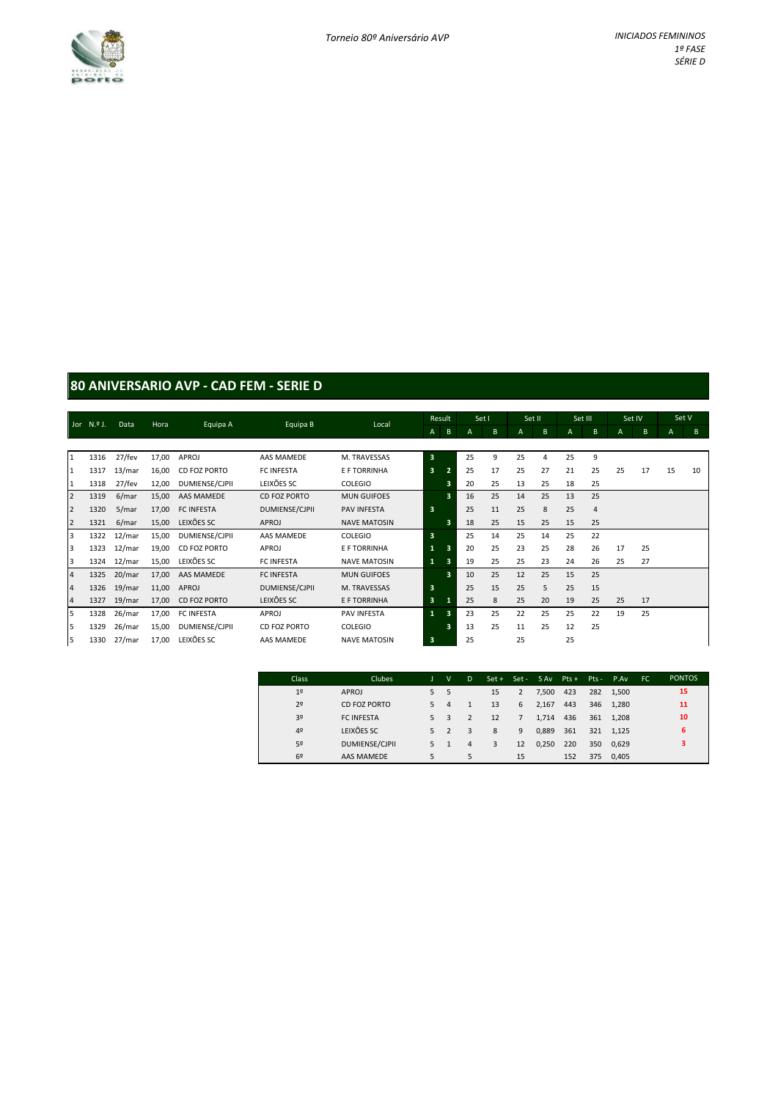

### **80 ANIVERSARIO AVP - CAD FEM - SERIE D**

|                | Jor N.º J. | Data   | Hora  | Equipa A          | Equipa B          | Local               | Result                  |                         | Set I |    | Set II |          | Set III |                | Set IV       |    | Set V |    |
|----------------|------------|--------|-------|-------------------|-------------------|---------------------|-------------------------|-------------------------|-------|----|--------|----------|---------|----------------|--------------|----|-------|----|
|                |            |        |       |                   |                   |                     | A                       | $\, {\bf B}$            | А     | B  | A      | B        | A       | B              | $\mathsf{A}$ | B  | A     | B  |
|                |            |        |       |                   |                   |                     |                         |                         |       |    |        |          |         |                |              |    |       |    |
| $\mathbf{1}$   | 1316       | 27/fev | 17,00 | APROJ             | AAS MAMEDE        | M. TRAVESSAS        | $\overline{\mathbf{3}}$ |                         | 25    | 9  | 25     | $\Delta$ | 25      | 9              |              |    |       |    |
| $\mathbf{1}$   | 1317       | 13/mar | 16,00 | CD FOZ PORTO      | <b>FC INFESTA</b> | E F TORRINHA        | $\overline{\mathbf{3}}$ |                         | 25    | 17 | 25     | 27       | 21      | 25             | 25           | 17 | 15    | 10 |
| $\mathbf{1}$   | 1318       | 27/fev | 12,00 | DUMIENSE/CJPII    | LEIXÕES SC        | COLEGIO             |                         | 3                       | 20    | 25 | 13     | 25       | 18      | 25             |              |    |       |    |
| $\overline{2}$ | 1319       | 6/mar  | 15,00 | AAS MAMEDE        | CD FOZ PORTO      | <b>MUN GUIFOES</b>  |                         | 3                       | 16    | 25 | 14     | 25       | 13      | 25             |              |    |       |    |
| $\overline{2}$ | 1320       | 5/mar  | 17,00 | <b>FC INFESTA</b> | DUMIENSE/CJPII    | <b>PAV INFESTA</b>  | $\overline{\mathbf{3}}$ |                         | 25    | 11 | 25     | 8        | 25      | $\overline{4}$ |              |    |       |    |
| $\overline{2}$ | 1321       | 6/mar  | 15,00 | LEIXÕES SC        | APROJ             | <b>NAVE MATOSIN</b> |                         | в                       | 18    | 25 | 15     | 25       | 15      | 25             |              |    |       |    |
| $\overline{3}$ | 1322       | 12/mar | 15,00 | DUMIENSE/CJPII    | AAS MAMEDE        | COLEGIO             | $\overline{\mathbf{3}}$ |                         | 25    | 14 | 25     | 14       | 25      | 22             |              |    |       |    |
| $\overline{3}$ | 1323       | 12/mar | 19,00 | CD FOZ PORTO      | APROJ             | E F TORRINHA        |                         | з                       | 20    | 25 | 23     | 25       | 28      | 26             | 17           | 25 |       |    |
| 3              | 1324       | 12/mar | 15,00 | LEIXÕES SC        | <b>FC INFESTA</b> | <b>NAVE MATOSIN</b> | $\mathbf{1}$            | з                       | 19    | 25 | 25     | 23       | 24      | 26             | 25           | 27 |       |    |
| $\sqrt{4}$     | 1325       | 20/mar | 17,00 | AAS MAMEDE        | <b>FC INFESTA</b> | <b>MUN GUIFOES</b>  |                         | 3                       | 10    | 25 | 12     | 25       | 15      | 25             |              |    |       |    |
| $\sqrt{4}$     | 1326       | 19/mar | 11,00 | APROJ             | DUMIENSE/CJPII    | M. TRAVESSAS        | $\overline{\mathbf{3}}$ |                         | 25    | 15 | 25     | 5        | 25      | 15             |              |    |       |    |
| $\overline{a}$ | 1327       | 19/mar | 17,00 | CD FOZ PORTO      | LEIXÕES SC        | E F TORRINHA        | $\overline{\mathbf{3}}$ |                         | 25    | 8  | 25     | 20       | 19      | 25             | 25           | 17 |       |    |
| 5              | 1328       | 26/mar | 17,00 | <b>FC INFESTA</b> | APROJ             | <b>PAV INFESTA</b>  | $\mathbf{1}$            | $\overline{\mathbf{3}}$ | 23    | 25 | 22     | 25       | 25      | 22             | 19           | 25 |       |    |
| 5              | 1329       | 26/mar | 15,00 | DUMIENSE/CJPII    | CD FOZ PORTO      | COLEGIO             |                         | 3                       | 13    | 25 | 11     | 25       | 12      | 25             |              |    |       |    |
| 5              | 1330       | 27/mar | 17,00 | LEIXÕES SC        | AAS MAMEDE        | <b>NAVE MATOSIN</b> | 3                       |                         | 25    |    | 25     |          | 25      |                |              |    |       |    |

| <b>Class</b>   | <b>Clubes</b>         |    | $\mathsf{v}$ | D |    |    | Set + Set - SAv Pts + |     | $Pts -$ | P.Av      | FC. | <b>PONTOS</b> |
|----------------|-----------------------|----|--------------|---|----|----|-----------------------|-----|---------|-----------|-----|---------------|
| 1 <sup>°</sup> | <b>APROJ</b>          | 5  | 5            |   | 15 | 2  | 7.500                 | 423 |         | 282 1.500 |     | 15            |
| 2 <sup>o</sup> | CD FOZ PORTO          | .5 | 4            |   | 13 | 6  | 2.167                 | 443 |         | 346 1.280 |     | 11            |
| 3 <sup>o</sup> | <b>FC INFESTA</b>     | 5  | 3            |   | 12 | 7  | 1,714                 | 436 |         | 361 1.208 |     | 10            |
| 49             | LEIXÕES SC            | 5  |              | 3 | 8  | 9  | 0,889                 | 361 |         | 321 1.125 |     | 6             |
| 5º             | <b>DUMIENSE/CJPII</b> | 5  |              | 4 | 3  | 12 | 0,250                 | 220 | 350     | 0.629     |     | 3             |
| 69             | AAS MAMEDE            | 5  |              | 5 |    | 15 |                       | 152 | 375     | 0.405     |     |               |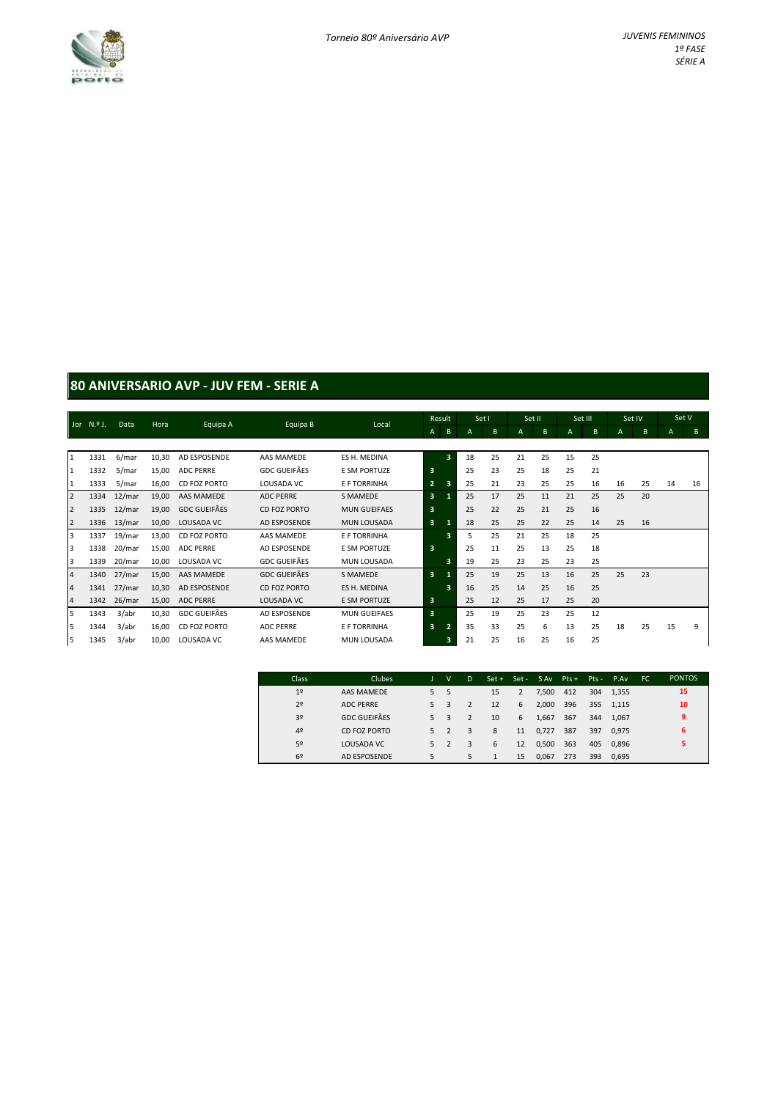

# **80 ANIVERSARIO AVP - JUV FEM - SERIE A**

| Jor $N.9$ J.   |      | Data   | Hora  | Equipa A            | Equipa B            | Local               | Result                  |                         | Set I |                | Set II |    | Set III        |    | Set IV |    | Set V |    |
|----------------|------|--------|-------|---------------------|---------------------|---------------------|-------------------------|-------------------------|-------|----------------|--------|----|----------------|----|--------|----|-------|----|
|                |      |        |       |                     |                     |                     | A                       | B                       | A     | B <sub>1</sub> | A      | B  | $\overline{A}$ | B  | A      | B  | A.    | B  |
|                |      |        |       |                     |                     |                     |                         |                         |       |                |        |    |                |    |        |    |       |    |
| 1              | 1331 | 6/mar  | 10,30 | AD ESPOSENDE        | <b>AAS MAMEDE</b>   | ES H. MEDINA        |                         | $\overline{\mathbf{3}}$ | 18    | 25             | 21     | 25 | 15             | 25 |        |    |       |    |
| $\mathbf{1}$   | 1332 | 5/mar  | 15,00 | <b>ADC PERRE</b>    | <b>GDC GUEIFÃES</b> | <b>E SM PORTUZE</b> | $\overline{\mathbf{3}}$ |                         | 25    | 23             | 25     | 18 | 25             | 21 |        |    |       |    |
| 1              | 1333 | 5/mar  | 16,00 | CD FOZ PORTO        | LOUSADA VC          | E F TORRINHA        | $\overline{2}$          | з                       | 25    | 21             | 23     | 25 | 25             | 16 | 16     | 25 | 14    | 16 |
| $\overline{2}$ | 1334 | 12/mar | 19,00 | AAS MAMEDE          | <b>ADC PERRE</b>    | S MAMEDE            | 3                       |                         | 25    | 17             | 25     | 11 | 21             | 25 | 25     | 20 |       |    |
| $\overline{2}$ | 1335 | 12/mar | 19,00 | <b>GDC GUEIFÃES</b> | CD FOZ PORTO        | <b>MUN GUEIFAES</b> | 3                       |                         | 25    | 22             | 25     | 21 | 25             | 16 |        |    |       |    |
| $\overline{2}$ | 1336 | 13/mar | 10,00 | LOUSADA VC          | AD ESPOSENDE        | <b>MUN LOUSADA</b>  | $\overline{\mathbf{3}}$ |                         | 18    | 25             | 25     | 22 | 25             | 14 | 25     | 16 |       |    |
| 3              | 1337 | 19/mar | 13,00 | CD FOZ PORTO        | AAS MAMEDE          | E F TORRINHA        |                         | 3                       | 5     | 25             | 21     | 25 | 18             | 25 |        |    |       |    |
| 3              | 1338 | 20/mar | 15,00 | <b>ADC PERRE</b>    | AD ESPOSENDE        | E SM PORTUZE        | $\overline{\mathbf{3}}$ |                         | 25    | 11             | 25     | 13 | 25             | 18 |        |    |       |    |
| 3              | 1339 | 20/mar | 10,00 | LOUSADA VC          | <b>GDC GUEIFÃES</b> | MUN LOUSADA         |                         | 3                       | 19    | 25             | 23     | 25 | 23             | 25 |        |    |       |    |
| $\overline{4}$ | 1340 | 27/mar | 15,00 | AAS MAMEDE          | <b>GDC GUEIFÃES</b> | S MAMEDE            | 3                       |                         | 25    | 19             | 25     | 13 | 16             | 25 | 25     | 23 |       |    |
| $\overline{a}$ | 1341 | 27/mar | 10,30 | AD ESPOSENDE        | CD FOZ PORTO        | ES H. MEDINA        |                         | $\overline{\mathbf{3}}$ | 16    | 25             | 14     | 25 | 16             | 25 |        |    |       |    |
| $\overline{4}$ | 1342 | 26/mar | 15,00 | <b>ADC PERRE</b>    | LOUSADA VC          | <b>E SM PORTUZE</b> | $\overline{\mathbf{3}}$ |                         | 25    | 12             | 25     | 17 | 25             | 20 |        |    |       |    |
| 5              | 1343 | 3/abr  | 10,30 | <b>GDC GUEIFÃES</b> | AD ESPOSENDE        | <b>MUN GUEIFAES</b> | $\overline{\mathbf{3}}$ |                         | 25    | 19             | 25     | 23 | 25             | 12 |        |    |       |    |
| 5              | 1344 | 3/abr  | 16,00 | CD FOZ PORTO        | <b>ADC PERRE</b>    | E F TORRINHA        | $\overline{\mathbf{3}}$ |                         | 35    | 33             | 25     | 6  | 13             | 25 | 18     | 25 | 15    | 9  |
| 5              | 1345 | 3/abr  | 10,00 | LOUSADA VC          | <b>AAS MAMEDE</b>   | MUN LOUSADA         |                         | 3                       | 21    | 25             | 16     | 25 | 16             | 25 |        |    |       |    |

| <b>Class</b>   | <b>Clubes</b>       |    | $\mathsf{v}$ | D | $Set +$ | Set - SAv |       | $Pts +$ | $Pts -$ | P.Av.     | FC. | <b>PONTOS</b> |
|----------------|---------------------|----|--------------|---|---------|-----------|-------|---------|---------|-----------|-----|---------------|
| 1 <sup>°</sup> | AAS MAMEDE          | 5. | 5            |   | 15      |           | 7.500 | 412     |         | 304 1.355 |     | 15            |
| 2 <sup>o</sup> | <b>ADC PERRE</b>    | 5  |              |   | 12      | 6         | 2.000 | 396     |         | 355 1.115 |     | 10            |
| 3 <sup>o</sup> | <b>GDC GUEIFÃES</b> | 5  | 3            |   | 10      | 6         | 1.667 | 367     | 344     | 1.067     |     | 9             |
| 49             | CD FOZ PORTO        | 5  | 2            | 3 | 8       | 11        | 0,727 | 387     | 397     | 0.975     |     | 6             |
| 5º             | LOUSADA VC          | 5. |              | 3 | 6       | 12        | 0,500 | 363     | 405     | 0.896     |     | 5             |
| 6 <sup>2</sup> | <b>AD ESPOSENDE</b> | 5  |              | 5 |         | 15        | 0.067 | 273     | 393     | 0.695     |     |               |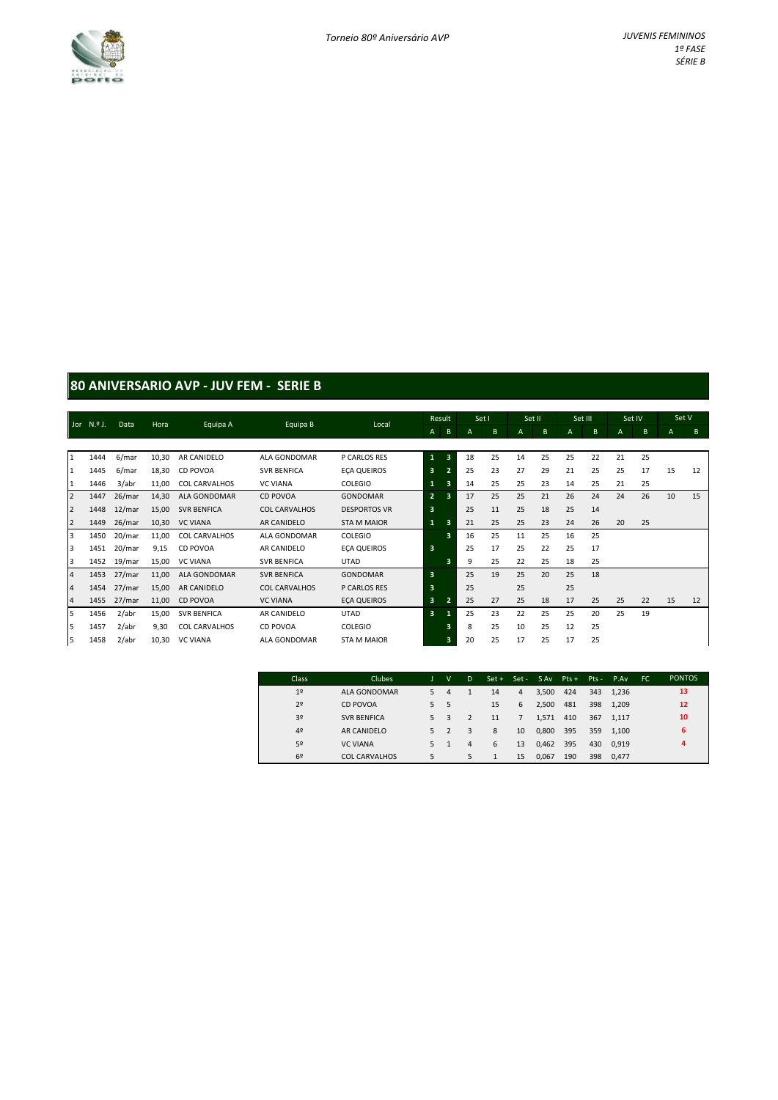

### **80 ANIVERSARIO AVP - JUV FEM - SERIE B**

|                         | Jor N.º J. | Data   | Hora  | Equipa A             | Equipa B             | Local               |                         | Result                  | Set I |    | Set II |    | Set III        |    | Set IV       |    | Set V          |    |
|-------------------------|------------|--------|-------|----------------------|----------------------|---------------------|-------------------------|-------------------------|-------|----|--------|----|----------------|----|--------------|----|----------------|----|
|                         |            |        |       |                      |                      |                     | A                       | B                       | А     | B  | A      | B  | $\overline{A}$ | B  | $\mathsf{A}$ | B  | $\overline{A}$ | B  |
|                         |            |        |       |                      |                      |                     |                         |                         |       |    |        |    |                |    |              |    |                |    |
| $\mathbf{1}$            | 1444       | 6/mar  | 10,30 | AR CANIDELO          | ALA GONDOMAR         | P CARLOS RES        | 1                       | $\overline{\mathbf{3}}$ | 18    | 25 | 14     | 25 | 25             | 22 | 21           | 25 |                |    |
| $\mathbf{1}$            | 1445       | 6/mar  | 18,30 | CD POVOA             | <b>SVR BENFICA</b>   | <b>ECA QUEIROS</b>  | 3                       |                         | 25    | 23 | 27     | 29 | 21             | 25 | 25           | 17 | 15             | 12 |
| $\mathbf{1}$            | 1446       | 3/abr  | 11,00 | <b>COL CARVALHOS</b> | <b>VC VIANA</b>      | <b>COLEGIO</b>      | 1                       | з                       | 14    | 25 | 25     | 23 | 14             | 25 | 21           | 25 |                |    |
| $\overline{2}$          | 1447       | 26/mar | 14,30 | ALA GONDOMAR         | CD POVOA             | <b>GONDOMAR</b>     | $\overline{2}$          | в                       | 17    | 25 | 25     | 21 | 26             | 24 | 24           | 26 | 10             | 15 |
| $\overline{2}$          | 1448       | 12/mar | 15,00 | <b>SVR BENFICA</b>   | COL CARVALHOS        | <b>DESPORTOS VR</b> | 3                       |                         | 25    | 11 | 25     | 18 | 25             | 14 |              |    |                |    |
| $\overline{2}$          | 1449       | 26/mar | 10,30 | <b>VC VIANA</b>      | AR CANIDELO          | <b>STA M MAIOR</b>  | $\mathbf{1}$            | з                       | 21    | 25 | 25     | 23 | 24             | 26 | 20           | 25 |                |    |
| $\overline{\mathbf{3}}$ | 1450       | 20/mar | 11,00 | <b>COL CARVALHOS</b> | ALA GONDOMAR         | COLEGIO             |                         | $\overline{\mathbf{3}}$ | 16    | 25 | 11     | 25 | 16             | 25 |              |    |                |    |
| 3                       | 1451       | 20/mar | 9,15  | CD POVOA             | AR CANIDELO          | <b>ECA QUEIROS</b>  | $\overline{\mathbf{3}}$ |                         | 25    | 17 | 25     | 22 | 25             | 17 |              |    |                |    |
| 3                       | 1452       | 19/mar | 15,00 | <b>VC VIANA</b>      | <b>SVR BENFICA</b>   | <b>UTAD</b>         |                         | G.                      | 9     | 25 | 22     | 25 | 18             | 25 |              |    |                |    |
| $\overline{4}$          | 1453       | 27/mar | 11,00 | ALA GONDOMAR         | <b>SVR BENFICA</b>   | <b>GONDOMAR</b>     | $\overline{\mathbf{3}}$ |                         | 25    | 19 | 25     | 20 | 25             | 18 |              |    |                |    |
| $\overline{a}$          | 1454       | 27/mar | 15,00 | <b>AR CANIDELO</b>   | <b>COL CARVALHOS</b> | P CARLOS RES        | 3                       |                         | 25    |    | 25     |    | 25             |    |              |    |                |    |
| $\overline{a}$          | 1455       | 27/mar | 11,00 | CD POVOA             | <b>VC VIANA</b>      | <b>ECA QUEIROS</b>  | 3                       |                         | 25    | 27 | 25     | 18 | 17             | 25 | 25           | 22 | 15             | 12 |
| 5                       | 1456       | 2/abr  | 15,00 | <b>SVR BENFICA</b>   | AR CANIDELO          | <b>UTAD</b>         | $\mathbf{3}$            |                         | 25    | 23 | 22     | 25 | 25             | 20 | 25           | 19 |                |    |
| 5                       | 1457       | 2/abr  | 9,30  | <b>COL CARVALHOS</b> | CD POVOA             | COLEGIO             |                         | в                       | 8     | 25 | 10     | 25 | 12             | 25 |              |    |                |    |
| 5                       | 1458       | 2/abr  | 10,30 | <b>VC VIANA</b>      | ALA GONDOMAR         | <b>STA M MAIOR</b>  |                         | 3                       | 20    | 25 | 17     | 25 | 17             | 25 |              |    |                |    |

| Class          | <b>Clubes</b>        |    | v | D | $Set +$ |    | Set-SAvPts+ |     |     | $Pts - P.Av$ | FC. | <b>PONTOS</b> |
|----------------|----------------------|----|---|---|---------|----|-------------|-----|-----|--------------|-----|---------------|
| 1 <sup>°</sup> | ALA GONDOMAR         | 5  | 4 |   | 14      | 4  | 3.500       | 424 |     | 343 1.236    |     | 13            |
| 2 <sup>o</sup> | <b>CD POVOA</b>      | 5. | 5 |   | 15      | 6  | 2.500       | 481 | 398 | 1.209        |     | 12            |
| 3 <sup>o</sup> | <b>SVR BENFICA</b>   | 5  | 3 |   | 11      | 7  | 1,571       | 410 | 367 | 1.117        |     | 10            |
| 4 <sup>°</sup> | AR CANIDELO          | 5  | 2 | 3 | 8       | 10 | 0,800       | 395 | 359 | 1.100        |     | 6             |
| 5º             | <b>VC VIANA</b>      | 5. |   | 4 | 6       | 13 | 0,462       | 395 | 430 | 0.919        |     | 4             |
| 69             | <b>COL CARVALHOS</b> | 5  |   | 5 |         | 15 | 0.067       | 190 | 398 | 0.477        |     |               |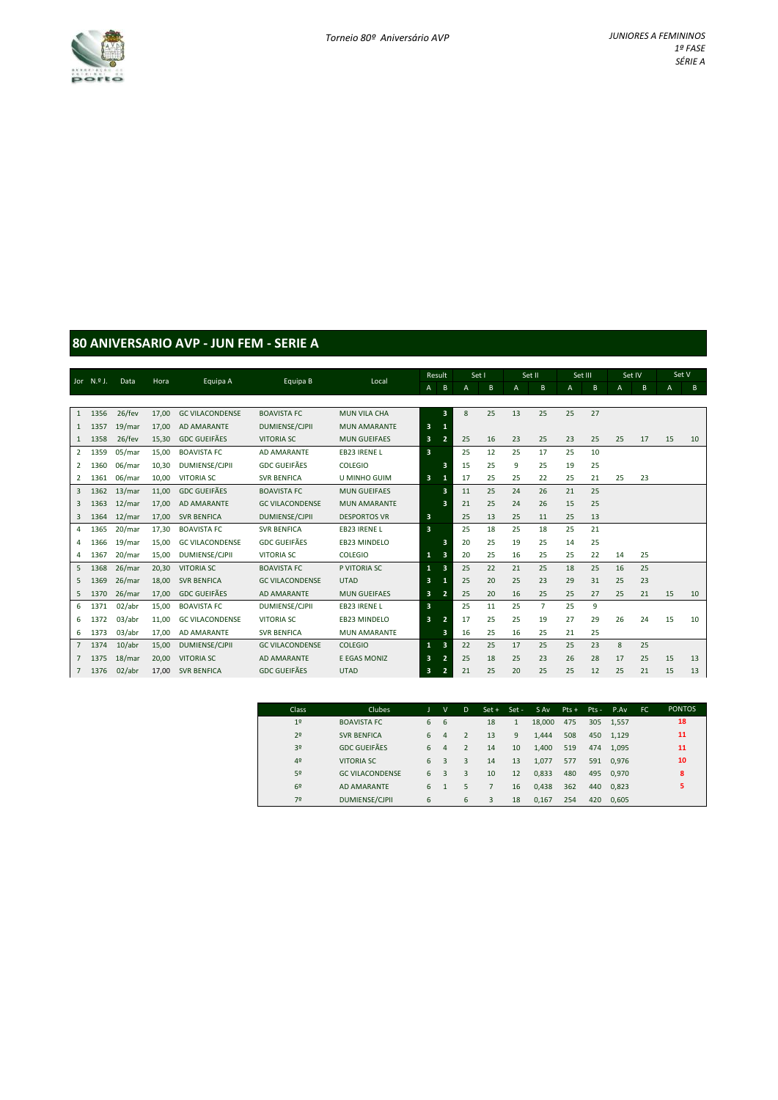

#### **80 ANIVERSARIO AVP - JUN FEM - SERIE A**

|                | Jor N.º J. | Data   | Hora  |                        | Equipa B               | Local               |                         | Result                  | Set I          |    | Set II |                | Set III        |    | Set IV       |              | Set V |    |
|----------------|------------|--------|-------|------------------------|------------------------|---------------------|-------------------------|-------------------------|----------------|----|--------|----------------|----------------|----|--------------|--------------|-------|----|
|                |            |        |       | Equipa A               |                        |                     | $\mathsf{A}$            | $\, {\bf B}$            | $\overline{A}$ | B  | A      | B              | $\overline{A}$ | B  | $\mathsf{A}$ | $\mathsf{B}$ | A     | B  |
|                |            |        |       |                        |                        |                     |                         |                         |                |    |        |                |                |    |              |              |       |    |
| $\overline{1}$ | 1356       | 26/fev | 17,00 | <b>GC VILACONDENSE</b> | <b>BOAVISTA FC</b>     | <b>MUN VILA CHA</b> |                         | $\overline{\mathbf{3}}$ | 8              | 25 | 13     | 25             | 25             | 27 |              |              |       |    |
| 1              | 1357       | 19/mar | 17.00 | <b>AD AMARANTE</b>     | <b>DUMIENSE/CJPII</b>  | <b>MUN AMARANTE</b> | 3                       | 1                       |                |    |        |                |                |    |              |              |       |    |
| 1              | 1358       | 26/fev | 15,30 | <b>GDC GUEIFÃES</b>    | <b>VITORIA SC</b>      | <b>MUN GUEIFAES</b> | 3                       | $\overline{2}$          | 25             | 16 | 23     | 25             | 23             | 25 | 25           | 17           | 15    | 10 |
| $\overline{2}$ | 1359       | 05/mar | 15,00 | <b>BOAVISTA FC</b>     | AD AMARANTE            | <b>EB23 IRENEL</b>  | 3                       |                         | 25             | 12 | 25     | 17             | 25             | 10 |              |              |       |    |
| 2              | 1360       | 06/mar | 10,30 | <b>DUMIENSE/CJPII</b>  | <b>GDC GUEIFÃES</b>    | <b>COLEGIO</b>      |                         | $\overline{\mathbf{3}}$ | 15             | 25 | 9      | 25             | 19             | 25 |              |              |       |    |
| 2              | 1361       | 06/mar | 10.00 | <b>VITORIA SC</b>      | <b>SVR BENFICA</b>     | <b>U MINHO GUIM</b> | 3                       | -1                      | 17             | 25 | 25     | 22             | 25             | 21 | 25           | 23           |       |    |
| $\overline{3}$ | 1362       | 13/mar | 11,00 | <b>GDC GUEIFÃES</b>    | <b>BOAVISTA FC</b>     | <b>MUN GUEIFAES</b> |                         | 3                       | 11             | 25 | 24     | 26             | 21             | 25 |              |              |       |    |
| 3              | 1363       | 12/mar | 17,00 | <b>AD AMARANTE</b>     | <b>GC VILACONDENSE</b> | <b>MUN AMARANTE</b> |                         | 3                       | 21             | 25 | 24     | 26             | 15             | 25 |              |              |       |    |
| 3              | 1364       | 12/mar | 17,00 | <b>SVR BENFICA</b>     | <b>DUMIENSE/CJPII</b>  | <b>DESPORTOS VR</b> | 3                       |                         | 25             | 13 | 25     | 11             | 25             | 13 |              |              |       |    |
| 4              | 1365       | 20/mar | 17,30 | <b>BOAVISTA FC</b>     | <b>SVR BENFICA</b>     | EB23 IRENE L        | $\overline{\mathbf{3}}$ |                         | 25             | 18 | 25     | 18             | 25             | 21 |              |              |       |    |
| 4              | 1366       | 19/mar | 15,00 | <b>GC VILACONDENSE</b> | <b>GDC GUEIFÃES</b>    | <b>EB23 MINDELO</b> |                         | 3                       | 20             | 25 | 19     | 25             | 14             | 25 |              |              |       |    |
| $\overline{4}$ | 1367       | 20/mar | 15,00 | DUMIENSE/CJPII         | <b>VITORIA SC</b>      | <b>COLEGIO</b>      | $\mathbf{1}$            | 3                       | 20             | 25 | 16     | 25             | 25             | 22 | 14           | 25           |       |    |
| 5              | 1368       | 26/mar | 20,30 | <b>VITORIA SC</b>      | <b>BOAVISTA FC</b>     | P VITORIA SC        | 1                       | $\overline{\mathbf{3}}$ | 25             | 22 | 21     | 25             | 18             | 25 | 16           | 25           |       |    |
| 5              | 1369       | 26/mar | 18,00 | <b>SVR BENFICA</b>     | <b>GC VILACONDENSE</b> | <b>UTAD</b>         | 3                       |                         | 25             | 20 | 25     | 23             | 29             | 31 | 25           | 23           |       |    |
| 5              | 1370       | 26/mar | 17,00 | <b>GDC GUEIFÃES</b>    | <b>AD AMARANTE</b>     | <b>MUN GUEIFAES</b> | 3                       | $\overline{2}$          | 25             | 20 | 16     | 25             | 25             | 27 | 25           | 21           | 15    | 10 |
| 6              | 1371       | 02/abr | 15,00 | <b>BOAVISTA FC</b>     | <b>DUMIENSE/CJPII</b>  | EB23 IRENE L        | 3                       |                         | 25             | 11 | 25     | $\overline{7}$ | 25             | 9  |              |              |       |    |
| 6              | 1372       | 03/abr | 11,00 | <b>GC VILACONDENSE</b> | <b>VITORIA SC</b>      | <b>EB23 MINDELO</b> | 3                       | $\overline{2}$          | 17             | 25 | 25     | 19             | 27             | 29 | 26           | 24           | 15    | 10 |
| 6              | 1373       | 03/abr | 17,00 | AD AMARANTE            | <b>SVR BENFICA</b>     | <b>MUN AMARANTE</b> |                         | 3                       | 16             | 25 | 16     | 25             | 21             | 25 |              |              |       |    |
| $\overline{7}$ | 1374       | 10/abr | 15,00 | <b>DUMIENSE/CJPII</b>  | <b>GC VILACONDENSE</b> | <b>COLEGIO</b>      | $\mathbf{1}$            | $\overline{\mathbf{3}}$ | 22             | 25 | 17     | 25             | 25             | 23 | 8            | 25           |       |    |
| $\overline{7}$ | 1375       | 18/mar | 20,00 | <b>VITORIA SC</b>      | <b>AD AMARANTE</b>     | E EGAS MONIZ        | 3                       | $\overline{2}$          | 25             | 18 | 25     | 23             | 26             | 28 | 17           | 25           | 15    | 13 |
| $7^{\circ}$    | 1376       | 02/abr | 17,00 | <b>SVR BENFICA</b>     | <b>GDC GUEIFÃES</b>    | <b>UTAD</b>         | 3                       | $\overline{2}$          | 21             | 25 | 20     | 25             | 25             | 12 | 25           | 21           | 15    | 13 |

| Class          | <b>Clubes</b>          |   | v              | D              | $Set +$ | Set-         | S Av   | $Pts +$ | $Pts -$ | P.Av  | FC. | <b>PONTOS</b> |  |
|----------------|------------------------|---|----------------|----------------|---------|--------------|--------|---------|---------|-------|-----|---------------|--|
| 1 <sup>°</sup> | <b>BOAVISTA FC</b>     | 6 | 6              |                | 18      | $\mathbf{1}$ | 18,000 | 475     | 305     | 1.557 |     | 18            |  |
| 2 <sup>o</sup> | <b>SVR BENFICA</b>     | 6 | $\overline{4}$ | 2              | 13      | 9            | 1.444  | 508     | 450     | 1.129 |     | 11            |  |
| 3 <sup>o</sup> | <b>GDC GUEIFÃES</b>    | 6 | 4              | $\overline{2}$ | 14      | 10           | 1,400  | 519     | 474     | 1.095 |     | 11            |  |
| 4 <sup>°</sup> | <b>VITORIA SC</b>      | 6 | 3              | 3              | 14      | 13           | 1,077  | 577     | 591     | 0.976 |     | 10            |  |
| 5º             | <b>GC VILACONDENSE</b> | 6 | 3              | 3              | 10      | 12           | 0,833  | 480     | 495     | 0.970 |     | 8             |  |
| 6 <sup>2</sup> | AD AMARANTE            | 6 | 1              | 5              |         | 16           | 0,438  | 362     | 440     | 0.823 |     | 5             |  |
| 72             | <b>DUMIENSE/CJPII</b>  | 6 |                | 6              | 3       | 18           | 0,167  | 254     | 420     | 0.605 |     |               |  |
|                |                        |   |                |                |         |              |        |         |         |       |     |               |  |